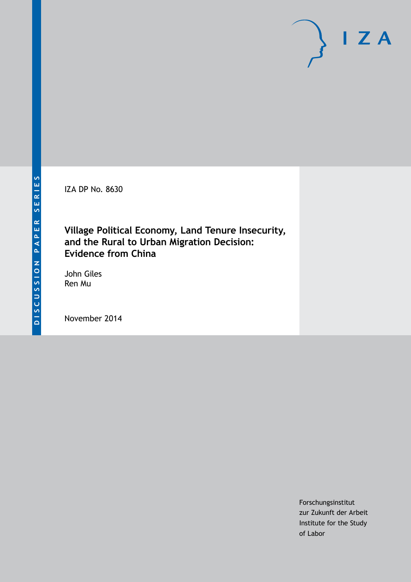IZA DP No. 8630

## **Village Political Economy, Land Tenure Insecurity, and the Rural to Urban Migration Decision: Evidence from China**

John Giles Ren Mu

November 2014

Forschungsinstitut zur Zukunft der Arbeit Institute for the Study of Labor

 $I Z A$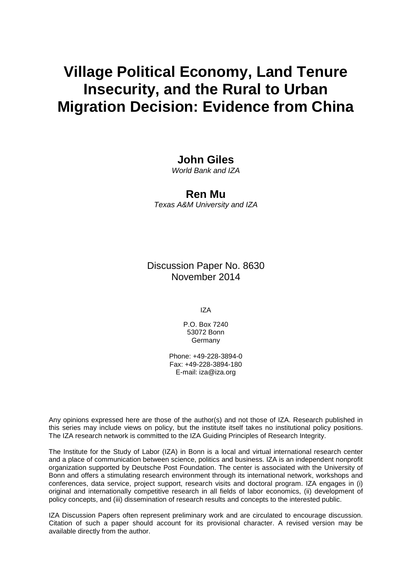# **Village Political Economy, Land Tenure Insecurity, and the Rural to Urban Migration Decision: Evidence from China**

## **John Giles**

*World Bank and IZA*

## **Ren Mu**

*Texas A&M University and IZA*

Discussion Paper No. 8630 November 2014

IZA

P.O. Box 7240 53072 Bonn Germany

Phone: +49-228-3894-0 Fax: +49-228-3894-180 E-mail: [iza@iza.org](mailto:iza@iza.org)

Any opinions expressed here are those of the author(s) and not those of IZA. Research published in this series may include views on policy, but the institute itself takes no institutional policy positions. The IZA research network is committed to the IZA Guiding Principles of Research Integrity.

<span id="page-1-0"></span>The Institute for the Study of Labor (IZA) in Bonn is a local and virtual international research center and a place of communication between science, politics and business. IZA is an independent nonprofit organization supported by Deutsche Post Foundation. The center is associated with the University of Bonn and offers a stimulating research environment through its international network, workshops and conferences, data service, project support, research visits and doctoral program. IZA engages in (i) original and internationally competitive research in all fields of labor economics, (ii) development of policy concepts, and (iii) dissemination of research results and concepts to the interested public.

IZA Discussion Papers often represent preliminary work and are circulated to encourage discussion. Citation of such a paper should account for its provisional character. A revised version may be available directly from the author.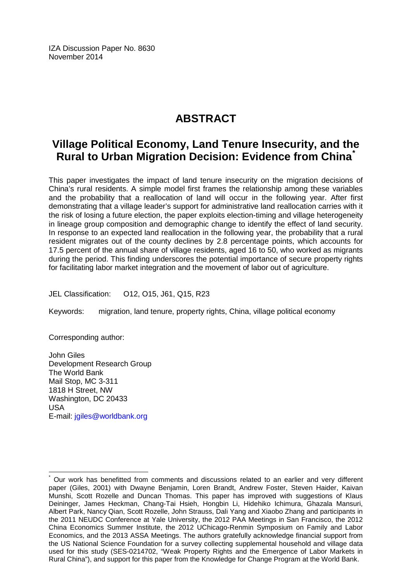IZA Discussion Paper No. 8630 November 2014

## **ABSTRACT**

## **Village Political Economy, Land Tenure Insecurity, and the Rural to Urban Migration Decision: Evidence from China[\\*](#page-1-0)**

This paper investigates the impact of land tenure insecurity on the migration decisions of China's rural residents. A simple model first frames the relationship among these variables and the probability that a reallocation of land will occur in the following year. After first demonstrating that a village leader's support for administrative land reallocation carries with it the risk of losing a future election, the paper exploits election-timing and village heterogeneity in lineage group composition and demographic change to identify the effect of land security. In response to an expected land reallocation in the following year, the probability that a rural resident migrates out of the county declines by 2.8 percentage points, which accounts for 17.5 percent of the annual share of village residents, aged 16 to 50, who worked as migrants during the period. This finding underscores the potential importance of secure property rights for facilitating labor market integration and the movement of labor out of agriculture.

JEL Classification: O12, O15, J61, Q15, R23

Keywords: migration, land tenure, property rights, China, village political economy

Corresponding author:

John Giles Development Research Group The World Bank Mail Stop, MC 3-311 1818 H Street, NW Washington, DC 20433 USA E-mail: [jgiles@worldbank.org](mailto:jgiles@worldbank.org)

Our work has benefitted from comments and discussions related to an earlier and very different paper (Giles, 2001) with Dwayne Benjamin, Loren Brandt, Andrew Foster, Steven Haider, Kaivan Munshi, Scott Rozelle and Duncan Thomas. This paper has improved with suggestions of Klaus Deininger, James Heckman, Chang-Tai Hsieh, Hongbin Li, Hidehiko Ichimura, Ghazala Mansuri, Albert Park, Nancy Qian, Scott Rozelle, John Strauss, Dali Yang and Xiaobo Zhang and participants in the 2011 NEUDC Conference at Yale University, the 2012 PAA Meetings in San Francisco, the 2012 China Economics Summer Institute, the 2012 UChicago-Renmin Symposium on Family and Labor Economics, and the 2013 ASSA Meetings. The authors gratefully acknowledge financial support from the US National Science Foundation for a survey collecting supplemental household and village data used for this study (SES-0214702, "Weak Property Rights and the Emergence of Labor Markets in Rural China"), and support for this paper from the Knowledge for Change Program at the World Bank.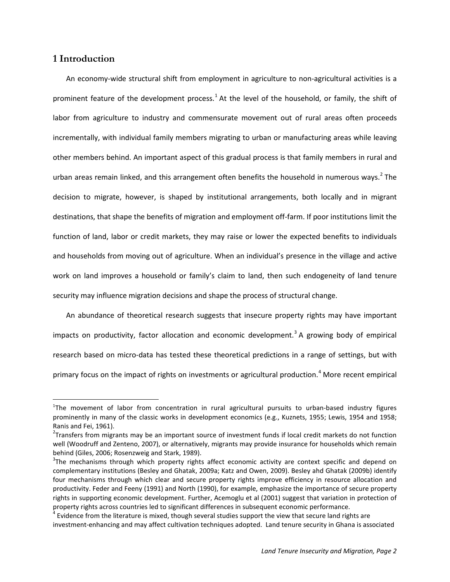### **1 Introduction**

An economy-wide structural shift from employment in agriculture to non-agricultural activities is a prominent feature of the development process.<sup>1</sup> At the level of the household, or family, the shift of labor from agriculture to industry and commensurate movement out of rural areas often proceeds incrementally, with individual family members migrating to urban or manufacturing areas while leaving other members behind. An important aspect of this gradual process is that family members in rural and urban areas remain linked, and this arrangement often benefits the household in numerous ways.<sup>[2](#page-3-0)</sup> The decision to migrate, however, is shaped by institutional arrangements, both locally and in migrant destinations, that shape the benefits of migration and employment off-farm. If poor institutions limit the function of land, labor or credit markets, they may raise or lower the expected benefits to individuals and households from moving out of agriculture. When an individual's presence in the village and active work on land improves a household or family's claim to land, then such endogeneity of land tenure security may influence migration decisions and shape the process of structural change.

An abundance of theoretical research suggests that insecure property rights may have important impacts on productivity, factor allocation and economic development.<sup>[3](#page-3-1)</sup> A growing body of empirical research based on micro-data has tested these theoretical predictions in a range of settings, but with primary focus on the impact of rights on investments or agricultural production.<sup>[4](#page-3-2)</sup> More recent empirical

 $\frac{1}{1}$ <sup>1</sup>The movement of labor from concentration in rural agricultural pursuits to urban-based industry figures prominently in many of the classic works in development economics (e.g., Kuznets, 1955; Lewis, 1954 and 1958; Ranis and Fei, 1961).

<span id="page-3-0"></span> $2$ Transfers from migrants may be an important source of investment funds if local credit markets do not function well (Woodruff and Zenteno, 2007), or alternatively, migrants may provide insurance for households which remain behind (Giles, 2006; Rosenzweig and Stark, 1989).

<span id="page-3-1"></span> $3$ The mechanisms through which property rights affect economic activity are context specific and depend on complementary institutions (Besley and Ghatak, 2009a; Katz and Owen, 2009). Besley ahd Ghatak (2009b) identify four mechanisms through which clear and secure property rights improve efficiency in resource allocation and productivity. Feder and Feeny (1991) and North (1990), for example, emphasize the importance of secure property rights in supporting economic development. Further, Acemoglu et al (2001) suggest that variation in protection of property rights across countries led to significant differences in subsequent economic performance.<br><sup>4</sup> Evidence from the literature is mixed, though several studies support the view that secure land rights are

<span id="page-3-2"></span>investment-enhancing and may affect cultivation techniques adopted. Land tenure security in Ghana is associated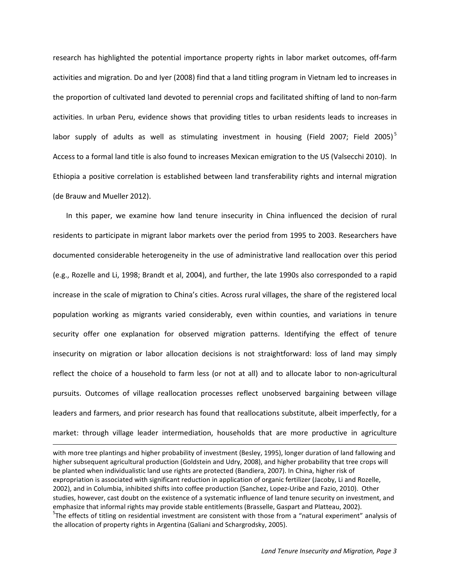research has highlighted the potential importance property rights in labor market outcomes, off-farm activities and migration. Do and Iyer (2008) find that a land titling program in Vietnam led to increases in the proportion of cultivated land devoted to perennial crops and facilitated shifting of land to non-farm activities. In urban Peru, evidence shows that providing titles to urban residents leads to increases in labor supply of adults as well as stimulating investment in housing (Field 2007; Field 200[5](#page-3-2))<sup>5</sup> Access to a formal land title is also found to increases Mexican emigration to the US (Valsecchi 2010). In Ethiopia a positive correlation is established between land transferability rights and internal migration (de Brauw and Mueller 2012).

In this paper, we examine how land tenure insecurity in China influenced the decision of rural residents to participate in migrant labor markets over the period from 1995 to 2003. Researchers have documented considerable heterogeneity in the use of administrative land reallocation over this period (e.g., Rozelle and Li, 1998; Brandt et al, 2004), and further, the late 1990s also corresponded to a rapid increase in the scale of migration to China's cities. Across rural villages, the share of the registered local population working as migrants varied considerably, even within counties, and variations in tenure security offer one explanation for observed migration patterns. Identifying the effect of tenure insecurity on migration or labor allocation decisions is not straightforward: loss of land may simply reflect the choice of a household to farm less (or not at all) and to allocate labor to non-agricultural pursuits. Outcomes of village reallocation processes reflect unobserved bargaining between village leaders and farmers, and prior research has found that reallocations substitute, albeit imperfectly, for a market: through village leader intermediation, households that are more productive in agriculture

<span id="page-4-0"></span>with more tree plantings and higher probability of investment (Besley, 1995), longer duration of land fallowing and higher subsequent agricultural production (Goldstein and Udry, 2008), and higher probability that tree crops will be planted when individualistic land use rights are protected (Bandiera, 2007). In China, higher risk of expropriation is associated with significant reduction in application of organic fertilizer (Jacoby, Li and Rozelle, 2002), and in Columbia, inhibited shifts into coffee production (Sanchez, Lopez-Uribe and Fazio, 2010). Other studies, however, cast doubt on the existence of a systematic influence of land tenure security on investment, and emphasize that informal rights may provide stable entitlements (Brasselle, Gaspart and Platteau, 2002). <sup>5</sup>The effects of titling on residential investment are consistent with those from a "natural experiment" analysis of the allocation of property rights in Argentina (Galiani and Schargrodsky, 2005).

 $\overline{\phantom{a}}$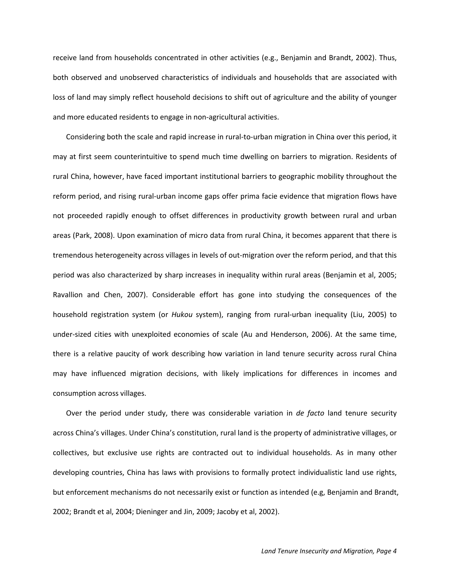receive land from households concentrated in other activities (e.g., Benjamin and Brandt, 2002). Thus, both observed and unobserved characteristics of individuals and households that are associated with loss of land may simply reflect household decisions to shift out of agriculture and the ability of younger and more educated residents to engage in non-agricultural activities.

Considering both the scale and rapid increase in rural-to-urban migration in China over this period, it may at first seem counterintuitive to spend much time dwelling on barriers to migration. Residents of rural China, however, have faced important institutional barriers to geographic mobility throughout the reform period, and rising rural-urban income gaps offer prima facie evidence that migration flows have not proceeded rapidly enough to offset differences in productivity growth between rural and urban areas (Park, 2008). Upon examination of micro data from rural China, it becomes apparent that there is tremendous heterogeneity across villages in levels of out-migration over the reform period, and that this period was also characterized by sharp increases in inequality within rural areas (Benjamin et al, 2005; Ravallion and Chen, 2007). Considerable effort has gone into studying the consequences of the household registration system (or *Hukou* system), ranging from rural-urban inequality (Liu, 2005) to under-sized cities with unexploited economies of scale (Au and Henderson, 2006). At the same time, there is a relative paucity of work describing how variation in land tenure security across rural China may have influenced migration decisions, with likely implications for differences in incomes and consumption across villages.

Over the period under study, there was considerable variation in *de facto* land tenure security across China's villages. Under China's constitution, rural land is the property of administrative villages, or collectives, but exclusive use rights are contracted out to individual households. As in many other developing countries, China has laws with provisions to formally protect individualistic land use rights, but enforcement mechanisms do not necessarily exist or function as intended (e.g, Benjamin and Brandt, 2002; Brandt et al, 2004; Dieninger and Jin, 2009; Jacoby et al, 2002).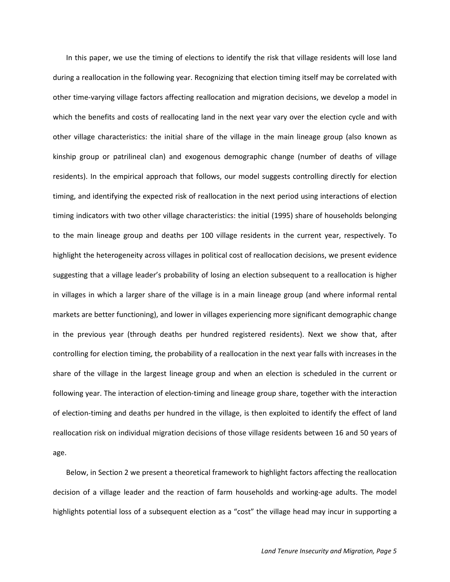In this paper, we use the timing of elections to identify the risk that village residents will lose land during a reallocation in the following year. Recognizing that election timing itself may be correlated with other time-varying village factors affecting reallocation and migration decisions, we develop a model in which the benefits and costs of reallocating land in the next year vary over the election cycle and with other village characteristics: the initial share of the village in the main lineage group (also known as kinship group or patrilineal clan) and exogenous demographic change (number of deaths of village residents). In the empirical approach that follows, our model suggests controlling directly for election timing, and identifying the expected risk of reallocation in the next period using interactions of election timing indicators with two other village characteristics: the initial (1995) share of households belonging to the main lineage group and deaths per 100 village residents in the current year, respectively. To highlight the heterogeneity across villages in political cost of reallocation decisions, we present evidence suggesting that a village leader's probability of losing an election subsequent to a reallocation is higher in villages in which a larger share of the village is in a main lineage group (and where informal rental markets are better functioning), and lower in villages experiencing more significant demographic change in the previous year (through deaths per hundred registered residents). Next we show that, after controlling for election timing, the probability of a reallocation in the next year falls with increases in the share of the village in the largest lineage group and when an election is scheduled in the current or following year. The interaction of election-timing and lineage group share, together with the interaction of election-timing and deaths per hundred in the village, is then exploited to identify the effect of land reallocation risk on individual migration decisions of those village residents between 16 and 50 years of age.

Below, in Section 2 we present a theoretical framework to highlight factors affecting the reallocation decision of a village leader and the reaction of farm households and working-age adults. The model highlights potential loss of a subsequent election as a "cost" the village head may incur in supporting a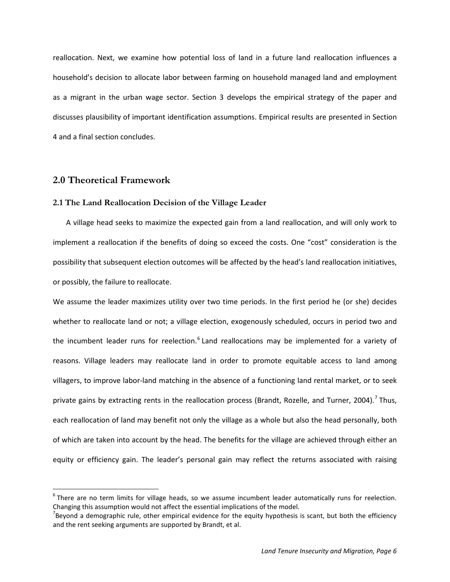reallocation. Next, we examine how potential loss of land in a future land reallocation influences a household's decision to allocate labor between farming on household managed land and employment as a migrant in the urban wage sector. Section 3 develops the empirical strategy of the paper and discusses plausibility of important identification assumptions. Empirical results are presented in Section 4 and a final section concludes.

#### **2.0 Theoretical Framework**

#### **2.1 The Land Reallocation Decision of the Village Leader**

A village head seeks to maximize the expected gain from a land reallocation, and will only work to implement a reallocation if the benefits of doing so exceed the costs. One "cost" consideration is the possibility that subsequent election outcomes will be affected by the head's land reallocation initiatives, or possibly, the failure to reallocate.

We assume the leader maximizes utility over two time periods. In the first period he (or she) decides whether to reallocate land or not; a village election, exogenously scheduled, occurs in period two and the incumbent leader runs for reelection.<sup>[6](#page-4-0)</sup> Land reallocations may be implemented for a variety of reasons. Village leaders may reallocate land in order to promote equitable access to land among villagers, to improve labor-land matching in the absence of a functioning land rental market, or to seek private gains by extracting rents in the reallocation process (Brandt, Rozelle, and Turner, 2004).<sup>[7](#page-7-0)</sup> Thus, each reallocation of land may benefit not only the village as a whole but also the head personally, both of which are taken into account by the head. The benefits for the village are achieved through either an equity or efficiency gain. The leader's personal gain may reflect the returns associated with raising

<span id="page-7-1"></span> $6$ There are no term limits for village heads, so we assume incumbent leader automatically runs for reelection. Changing this assumption would not affect the essential implications of the model.

<span id="page-7-0"></span> $^7$ Beyond a demographic rule, other empirical evidence for the equity hypothesis is scant, but both the efficiency and the rent seeking arguments are supported by Brandt, et al.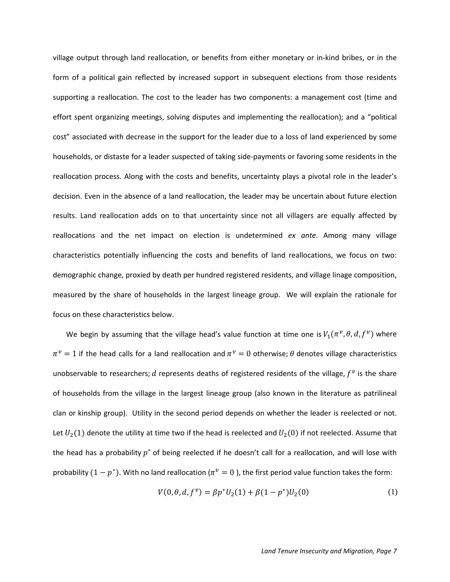village output through land reallocation, or benefits from either monetary or in-kind bribes, or in the form of a political gain reflected by increased support in subsequent elections from those residents supporting a reallocation. The cost to the leader has two components: a management cost (time and effort spent organizing meetings, solving disputes and implementing the reallocation); and a "political cost" associated with decrease in the support for the leader due to a loss of land experienced by some households, or distaste for a leader suspected of taking side-payments or favoring some residents in the reallocation process. Along with the costs and benefits, uncertainty plays a pivotal role in the leader's decision. Even in the absence of a land reallocation, the leader may be uncertain about future election results. Land reallocation adds on to that uncertainty since not all villagers are equally affected by reallocations and the net impact on election is undetermined *ex ante*. Among many village characteristics potentially influencing the costs and benefits of land reallocations, we focus on two: demographic change, proxied by death per hundred registered residents, and village linage composition, measured by the share of households in the largest lineage group. We will explain the rationale for focus on these characteristics below.

We begin by assuming that the village head's value function at time one is  $V_1(\pi^{\nu}, \theta, d, f^{\nu})$  where  $\pi^{\nu} = 1$  if the head calls for a land reallocation and  $\pi^{\nu} = 0$  otherwise;  $\theta$  denotes village characteristics unobservable to researchers; d represents deaths of registered residents of the village,  $f^v$  is the share of households from the village in the largest lineage group (also known in the literature as patrilineal clan or kinship group). Utility in the second period depends on whether the leader is reelected or not. Let  $U_2(1)$  denote the utility at time two if the head is reelected and  $U_2(0)$  if not reelected. Assume that the head has a probability  $p^*$  of being reelected if he doesn't call for a reallocation, and will lose with probability  $(1 - p^*)$ . With no land reallocation ( $\pi^v = 0$ ), the first period value function takes the form:

$$
V(0, \theta, d, f^{\nu}) = \beta p^* U_2(1) + \beta (1 - p^*) U_2(0)
$$
 (1)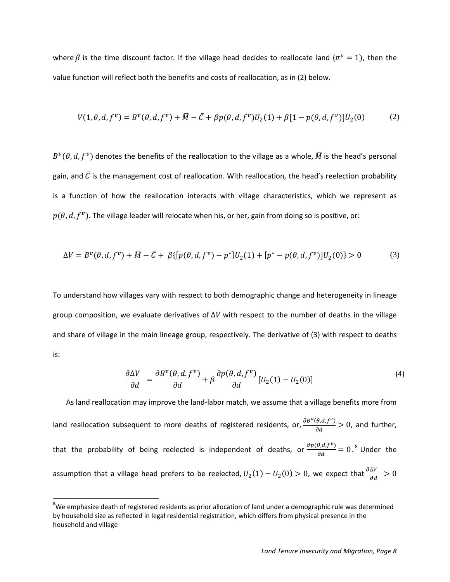where  $\beta$  is the time discount factor. If the village head decides to reallocate land ( $\pi^v = 1$ ), then the value function will reflect both the benefits and costs of reallocation, as in (2) below.

$$
V(1, \theta, d, f^{\nu}) = B^{\nu}(\theta, d, f^{\nu}) + \bar{M} - \bar{C} + \beta p(\theta, d, f^{\nu})U_2(1) + \beta [1 - p(\theta, d, f^{\nu})]U_2(0)
$$
 (2)

 $B^{\nu}(\theta, d, f^{\nu})$  denotes the benefits of the reallocation to the village as a whole,  $\overline{M}$  is the head's personal gain, and  $\bar{C}$  is the management cost of reallocation. With reallocation, the head's reelection probability is a function of how the reallocation interacts with village characteristics, which we represent as  $p(\theta, d, f^{\nu})$ . The village leader will relocate when his, or her, gain from doing so is positive, or:

$$
\Delta V = B^{\nu}(\theta, d, f^{\nu}) + \bar{M} - \bar{C} + \beta \{ [p(\theta, d, f^{\nu}) - p^*]U_2(1) + [p^* - p(\theta, d, f^{\nu})]U_2(0) \} > 0
$$
 (3)

To understand how villages vary with respect to both demographic change and heterogeneity in lineage group composition, we evaluate derivatives of  $\Delta V$  with respect to the number of deaths in the village and share of village in the main lineage group, respectively. The derivative of (3) with respect to deaths is:

$$
\frac{\partial \Delta V}{\partial d} = \frac{\partial B^{\nu}(\theta, d, f^{\nu})}{\partial d} + \beta \frac{\partial p(\theta, d, f^{\nu})}{\partial d} [U_2(1) - U_2(0)] \tag{4}
$$

As land reallocation may improve the land-labor match, we assume that a village benefits more from land reallocation subsequent to more deaths of registered residents, or,  $\frac{\partial B^{\nu}(\theta,d,f^{\nu})}{\partial d} > 0$ , and further, that the probability of being reelected is independent of deaths, or  $\frac{\partial p(\theta, d, f^{\nu})}{\partial d} = 0$ .<sup>[8](#page-7-1)</sup> Under the assumption that a village head prefers to be reelected,  $U_2(1) - U_2(0) > 0$ , we expect that  $\frac{\partial \Delta V}{\partial d} > 0$ 

<span id="page-9-0"></span><sup>-&</sup>lt;br>8  ${}^{8}$ We emphasize death of registered residents as prior allocation of land under a demographic rule was determined by household size as reflected in legal residential registration, which differs from physical presence in the household and village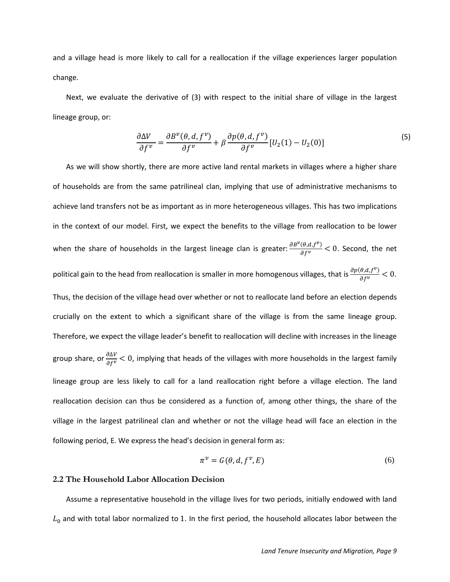and a village head is more likely to call for a reallocation if the village experiences larger population change.

Next, we evaluate the derivative of (3) with respect to the initial share of village in the largest lineage group, or:

$$
\frac{\partial \Delta V}{\partial f^{\nu}} = \frac{\partial B^{\nu}(\theta, d, f^{\nu})}{\partial f^{\nu}} + \beta \frac{\partial p(\theta, d, f^{\nu})}{\partial f^{\nu}} [U_2(1) - U_2(0)] \tag{5}
$$

As we will show shortly, there are more active land rental markets in villages where a higher share of households are from the same patrilineal clan, implying that use of administrative mechanisms to achieve land transfers not be as important as in more heterogeneous villages. This has two implications in the context of our model. First, we expect the benefits to the village from reallocation to be lower when the share of households in the largest lineage clan is greater:  $\frac{\partial B^{\nu}(\theta,d,f^{\nu})}{\partial f^{\nu}}$  < 0. Second, the net political gain to the head from reallocation is smaller in more homogenous villages, that is  $\frac{\partial p(\theta, d, f^v)}{\partial f^v}$  < 0. Thus, the decision of the village head over whether or not to reallocate land before an election depends crucially on the extent to which a significant share of the village is from the same lineage group. Therefore, we expect the village leader's benefit to reallocation will decline with increases in the lineage group share, or  $\frac{\partial \Delta V}{\partial f^{\nu}}$  < 0, implying that heads of the villages with more households in the largest family lineage group are less likely to call for a land reallocation right before a village election. The land reallocation decision can thus be considered as a function of, among other things, the share of the village in the largest patrilineal clan and whether or not the village head will face an election in the following period, E. We express the head's decision in general form as:

$$
\pi^{\nu} = G(\theta, d, f^{\nu}, E) \tag{6}
$$

#### **2.2 The Household Labor Allocation Decision**

Assume a representative household in the village lives for two periods, initially endowed with land  $L_0$  and with total labor normalized to 1. In the first period, the household allocates labor between the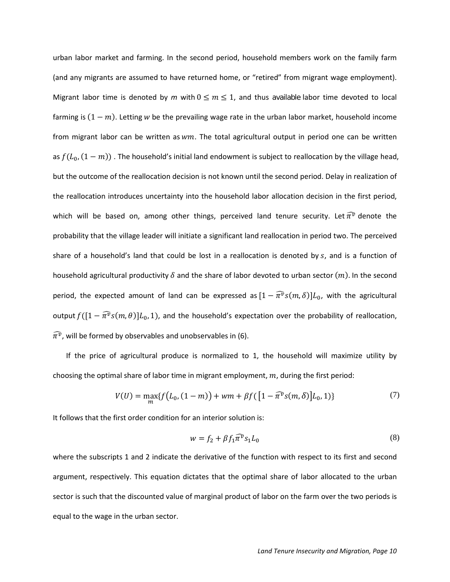urban labor market and farming. In the second period, household members work on the family farm (and any migrants are assumed to have returned home, or "retired" from migrant wage employment). Migrant labor time is denoted by *m* with  $0 \le m \le 1$ , and thus available labor time devoted to local farming is  $(1 - m)$ . Letting w be the prevailing wage rate in the urban labor market, household income from migrant labor can be written as  $wm$ . The total agricultural output in period one can be written as  $f(L_0, (1-m))$ . The household's initial land endowment is subject to reallocation by the village head, but the outcome of the reallocation decision is not known until the second period. Delay in realization of the reallocation introduces uncertainty into the household labor allocation decision in the first period, which will be based on, among other things, perceived land tenure security. Let  $\bar{\pi}^{\bar{v}}$  denote the probability that the village leader will initiate a significant land reallocation in period two. The perceived share of a household's land that could be lost in a reallocation is denoted by  $s$ , and is a function of household agricultural productivity  $\delta$  and the share of labor devoted to urban sector  $(m)$ . In the second period, the expected amount of land can be expressed as  $[1 - \pi^{\tilde{\nu}} s(m,\delta)]L_0$ , with the agricultural output  $f([1 - \widehat{\pi}^{\mathfrak{d}} s(m,\theta)]L_0, 1)$ , and the household's expectation over the probability of reallocation,  $\bar\pi^{\bar v}$ , will be formed by observables and unobservables in (6).

If the price of agricultural produce is normalized to 1, the household will maximize utility by choosing the optimal share of labor time in migrant employment,  $m$ , during the first period:

$$
V(U) = \max_{m} \{ f(L_0, (1-m)) + w m + \beta f([1 - \widehat{\pi}^v s(m, \delta)]L_0, 1) \}
$$
(7)

It follows that the first order condition for an interior solution is:

$$
w = f_2 + \beta f_1 \widehat{\pi}^v s_1 L_0 \tag{8}
$$

where the subscripts 1 and 2 indicate the derivative of the function with respect to its first and second argument, respectively. This equation dictates that the optimal share of labor allocated to the urban sector is such that the discounted value of marginal product of labor on the farm over the two periods is equal to the wage in the urban sector.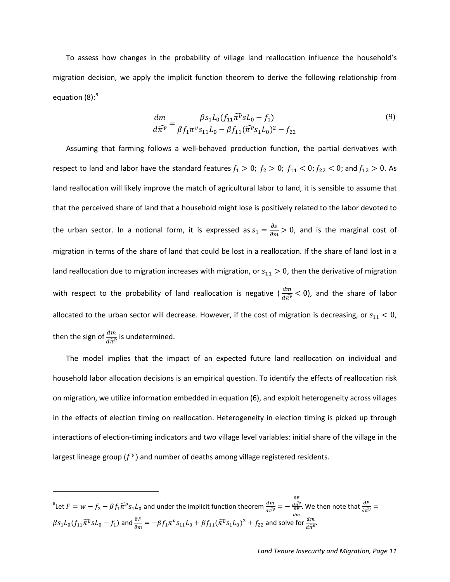To assess how changes in the probability of village land reallocation influence the household's migration decision, we apply the implicit function theorem to derive the following relationship from equation  $(8)$ : $^{9}$  $^{9}$  $^{9}$ 

$$
\frac{dm}{d\widehat{\pi}^{\nu}} = \frac{\beta s_1 L_0 (f_{11}\widehat{\pi}^{\nu} s L_0 - f_1)}{\beta f_1 \pi^{\nu} s_{11} L_0 - \beta f_{11} (\widehat{\pi}^{\nu} s_1 L_0)^2 - f_{22}}\tag{9}
$$

Assuming that farming follows a well-behaved production function, the partial derivatives with respect to land and labor have the standard features  $f_1 > 0$ ;  $f_2 > 0$ ;  $f_{11} < 0$ ;  $f_{22} < 0$ ; and  $f_{12} > 0$ . As land reallocation will likely improve the match of agricultural labor to land, it is sensible to assume that that the perceived share of land that a household might lose is positively related to the labor devoted to the urban sector. In a notional form, it is expressed as  $s_1 = \frac{\partial s}{\partial m} > 0$ , and is the marginal cost of migration in terms of the share of land that could be lost in a reallocation. If the share of land lost in a land reallocation due to migration increases with migration, or  $s_{11} > 0$ , then the derivative of migration with respect to the probability of land reallocation is negative  $(\frac{dm}{d\widehat{\pi^v}} < 0)$ , and the share of labor allocated to the urban sector will decrease. However, if the cost of migration is decreasing, or  $s_{11} < 0$ , then the sign of  $\frac{dm}{d\widehat{\pi}^v}$  is undetermined.

The model implies that the impact of an expected future land reallocation on individual and household labor allocation decisions is an empirical question. To identify the effects of reallocation risk on migration, we utilize information embedded in equation (6), and exploit heterogeneity across villages in the effects of election timing on reallocation. Heterogeneity in election timing is picked up through interactions of election-timing indicators and two village level variables: initial share of the village in the largest lineage group ( $f^v$ ) and number of deaths among village registered residents.

<sup>9</sup>Let 
$$
F = w - f_2 - \beta f_1 \widehat{\pi}^v s_1 L_0
$$
 and under the implicit function theorem  $\frac{dm}{d\widehat{\pi}^v} = -\frac{\frac{\partial F}{\partial \widehat{\pi}^v}}{\frac{\partial F}{\partial m}}$ . We then note that  $\frac{\partial F}{\partial \widehat{\pi}^v} = \beta s_1 L_0 (f_{11} \widehat{\pi}^v s L_0 - f_1)$  and  $\frac{\partial F}{\partial m} = -\beta f_1 \pi^v s_{11} L_0 + \beta f_{11} (\widehat{\pi}^v s_1 L_0)^2 + f_{22}$  and solve for  $\frac{dm}{d\widehat{\pi}^v}$ .

<span id="page-12-0"></span> $\overline{\phantom{a}}$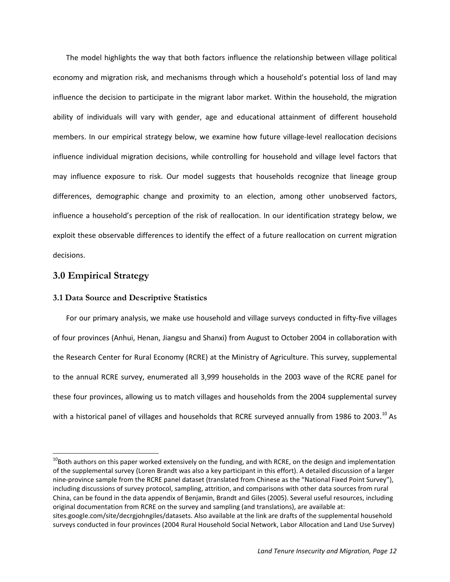The model highlights the way that both factors influence the relationship between village political economy and migration risk, and mechanisms through which a household's potential loss of land may influence the decision to participate in the migrant labor market. Within the household, the migration ability of individuals will vary with gender, age and educational attainment of different household members. In our empirical strategy below, we examine how future village-level reallocation decisions influence individual migration decisions, while controlling for household and village level factors that may influence exposure to risk. Our model suggests that households recognize that lineage group differences, demographic change and proximity to an election, among other unobserved factors, influence a household's perception of the risk of reallocation. In our identification strategy below, we exploit these observable differences to identify the effect of a future reallocation on current migration decisions.

#### **3.0 Empirical Strategy**

#### **3.1 Data Source and Descriptive Statistics**

For our primary analysis, we make use household and village surveys conducted in fifty-five villages of four provinces (Anhui, Henan, Jiangsu and Shanxi) from August to October 2004 in collaboration with the Research Center for Rural Economy (RCRE) at the Ministry of Agriculture. This survey, supplemental to the annual RCRE survey, enumerated all 3,999 households in the 2003 wave of the RCRE panel for these four provinces, allowing us to match villages and households from the 2004 supplemental survey with a historical panel of villages and households that RCRE surveyed annually from 1986 to 2003.<sup>[10](#page-12-0)</sup> As

<span id="page-13-0"></span><sup>&</sup>lt;sup>10</sup>Both authors on this paper worked extensively on the funding, and with RCRE, on the design and implementation of the supplemental survey (Loren Brandt was also a key participant in this effort). A detailed discussion of a larger nine-province sample from the RCRE panel dataset (translated from Chinese as the "National Fixed Point Survey"), including discussions of survey protocol, sampling, attrition, and comparisons with other data sources from rural China, can be found in the data appendix of Benjamin, Brandt and Giles (2005). Several useful resources, including original documentation from RCRE on the survey and sampling (and translations), are available at: sites.google.com/site/decrgjohngiles/datasets. Also available at the link are drafts of the supplemental household surveys conducted in four provinces (2004 Rural Household Social Network, Labor Allocation and Land Use Survey)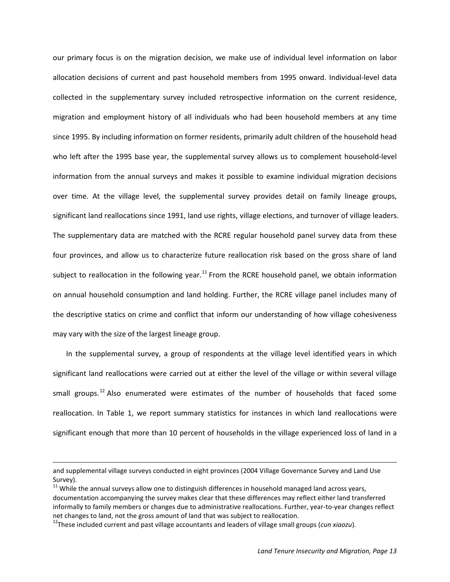our primary focus is on the migration decision, we make use of individual level information on labor allocation decisions of current and past household members from 1995 onward. Individual-level data collected in the supplementary survey included retrospective information on the current residence, migration and employment history of all individuals who had been household members at any time since 1995. By including information on former residents, primarily adult children of the household head who left after the 1995 base year, the supplemental survey allows us to complement household-level information from the annual surveys and makes it possible to examine individual migration decisions over time. At the village level, the supplemental survey provides detail on family lineage groups, significant land reallocations since 1991, land use rights, village elections, and turnover of village leaders. The supplementary data are matched with the RCRE regular household panel survey data from these four provinces, and allow us to characterize future reallocation risk based on the gross share of land subject to reallocation in the following year.<sup>[11](#page-13-0)</sup> From the RCRE household panel, we obtain information on annual household consumption and land holding. Further, the RCRE village panel includes many of the descriptive statics on crime and conflict that inform our understanding of how village cohesiveness may vary with the size of the largest lineage group.

In the supplemental survey, a group of respondents at the village level identified years in which significant land reallocations were carried out at either the level of the village or within several village small groups.<sup>[12](#page-14-0)</sup> Also enumerated were estimates of the number of households that faced some reallocation. In Table 1, we report summary statistics for instances in which land reallocations were significant enough that more than 10 percent of households in the village experienced loss of land in a

 $\overline{\phantom{a}}$ 

and supplemental village surveys conducted in eight provinces (2004 Village Governance Survey and Land Use Survey).<br> $11$  While the annual surveys allow one to distinguish differences in household managed land across years,

<span id="page-14-1"></span>documentation accompanying the survey makes clear that these differences may reflect either land transferred informally to family members or changes due to administrative reallocations. Further, year-to-year changes reflect net changes to land, not the gross amount of land that was subject to reallocation.

<span id="page-14-0"></span><sup>12</sup>These included current and past village accountants and leaders of village small groups (*cun xiaozu*).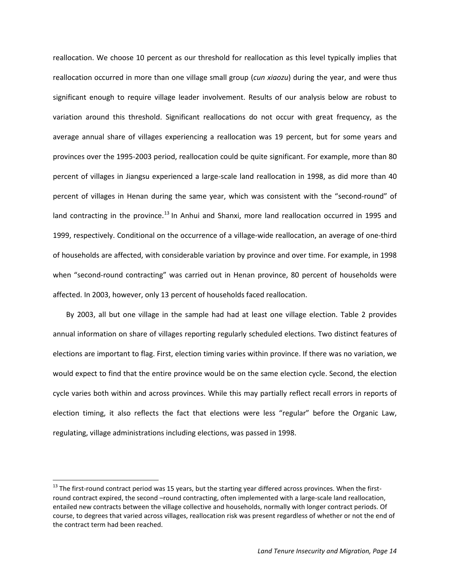reallocation. We choose 10 percent as our threshold for reallocation as this level typically implies that reallocation occurred in more than one village small group (*cun xiaozu*) during the year, and were thus significant enough to require village leader involvement. Results of our analysis below are robust to variation around this threshold. Significant reallocations do not occur with great frequency, as the average annual share of villages experiencing a reallocation was 19 percent, but for some years and provinces over the 1995-2003 period, reallocation could be quite significant. For example, more than 80 percent of villages in Jiangsu experienced a large-scale land reallocation in 1998, as did more than 40 percent of villages in Henan during the same year, which was consistent with the "second-round" of land contracting in the province.<sup>[13](#page-14-1)</sup> In Anhui and Shanxi, more land reallocation occurred in 1995 and 1999, respectively. Conditional on the occurrence of a village-wide reallocation, an average of one-third of households are affected, with considerable variation by province and over time. For example, in 1998 when "second-round contracting" was carried out in Henan province, 80 percent of households were affected. In 2003, however, only 13 percent of households faced reallocation.

By 2003, all but one village in the sample had had at least one village election. Table 2 provides annual information on share of villages reporting regularly scheduled elections. Two distinct features of elections are important to flag. First, election timing varies within province. If there was no variation, we would expect to find that the entire province would be on the same election cycle. Second, the election cycle varies both within and across provinces. While this may partially reflect recall errors in reports of election timing, it also reflects the fact that elections were less "regular" before the Organic Law, regulating, village administrations including elections, was passed in 1998.

<span id="page-15-0"></span><sup>&</sup>lt;sup>13</sup> The first-round contract period was 15 years, but the starting year differed across provinces. When the firstround contract expired, the second –round contracting, often implemented with a large-scale land reallocation, entailed new contracts between the village collective and households, normally with longer contract periods. Of course, to degrees that varied across villages, reallocation risk was present regardless of whether or not the end of the contract term had been reached.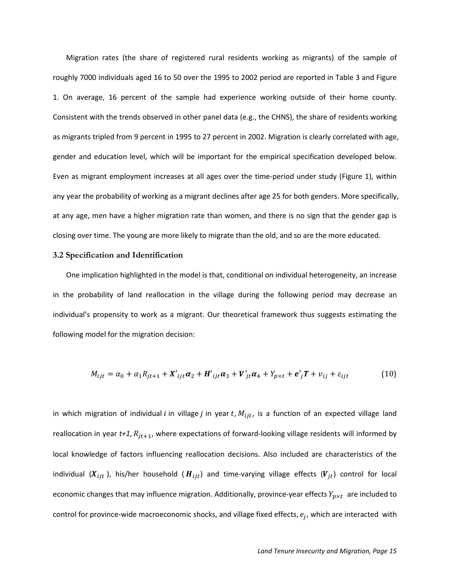Migration rates (the share of registered rural residents working as migrants) of the sample of roughly 7000 individuals aged 16 to 50 over the 1995 to 2002 period are reported in Table 3 and Figure 1. On average, 16 percent of the sample had experience working outside of their home county. Consistent with the trends observed in other panel data (e.g., the CHNS), the share of residents working as migrants tripled from 9 percent in 1995 to 27 percent in 2002. Migration is clearly correlated with age, gender and education level, which will be important for the empirical specification developed below. Even as migrant employment increases at all ages over the time-period under study (Figure 1), within any year the probability of working as a migrant declines after age 25 for both genders. More specifically, at any age, men have a higher migration rate than women, and there is no sign that the gender gap is closing over time. The young are more likely to migrate than the old, and so are the more educated.

#### **3.2 Specification and Identification**

One implication highlighted in the model is that, conditional on individual heterogeneity, an increase in the probability of land reallocation in the village during the following period may decrease an individual's propensity to work as a migrant. Our theoretical framework thus suggests estimating the following model for the migration decision:

$$
M_{ijt} = \alpha_0 + \alpha_1 R_{jt+1} + X'_{ijt} \alpha_2 + H'_{ijt} \alpha_3 + V'_{jt} \alpha_4 + Y_{p \times t} + e'_{j} T + v_{ij} + \varepsilon_{ijt}
$$
(10)

in which migration of individual i in village j in year  $t$ ,  $M_{ijt}$ , is a function of an expected village land reallocation in year  $t+1$ ,  $R_{jt+1}$ , where expectations of forward-looking village residents will informed by local knowledge of factors influencing reallocation decisions. Also included are characteristics of the individual ( $X_{ijt}$ ), his/her household ( $H_{ijt}$ ) and time-varying village effects ( $V_{jt}$ ) control for local economic changes that may influence migration. Additionally, province-year effects  $Y_{p\times t}$  are included to control for province-wide macroeconomic shocks, and village fixed effects,  $e_i$ , which are interacted with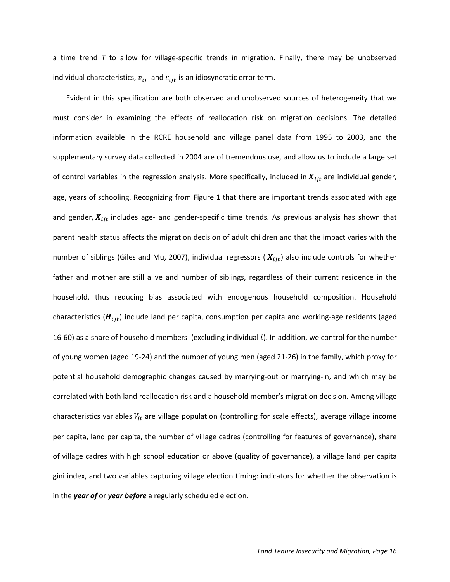a time trend *T* to allow for village-specific trends in migration. Finally, there may be unobserved individual characteristics,  $v_{ij}$  and  $\varepsilon_{ijt}$  is an idiosyncratic error term.

Evident in this specification are both observed and unobserved sources of heterogeneity that we must consider in examining the effects of reallocation risk on migration decisions. The detailed information available in the RCRE household and village panel data from 1995 to 2003, and the supplementary survey data collected in 2004 are of tremendous use, and allow us to include a large set of control variables in the regression analysis. More specifically, included in  $X_{ijt}$  are individual gender, age, years of schooling. Recognizing from Figure 1 that there are important trends associated with age and gender,  $X_{ijt}$  includes age- and gender-specific time trends. As previous analysis has shown that parent health status affects the migration decision of adult children and that the impact varies with the number of siblings (Giles and Mu, 2007), individual regressors ( $X_{ijt}$ ) also include controls for whether father and mother are still alive and number of siblings, regardless of their current residence in the household, thus reducing bias associated with endogenous household composition. Household characteristics ( $H_{ijt}$ ) include land per capita, consumption per capita and working-age residents (aged 16-60) as a share of household members (excluding individual  $i$ ). In addition, we control for the number of young women (aged 19-24) and the number of young men (aged 21-26) in the family, which proxy for potential household demographic changes caused by marrying-out or marrying-in, and which may be correlated with both land reallocation risk and a household member's migration decision. Among village characteristics variables  $V_{jt}$  are village population (controlling for scale effects), average village income per capita, land per capita, the number of village cadres (controlling for features of governance), share of village cadres with high school education or above (quality of governance), a village land per capita gini index, and two variables capturing village election timing: indicators for whether the observation is in the *year of* or *year before* a regularly scheduled election.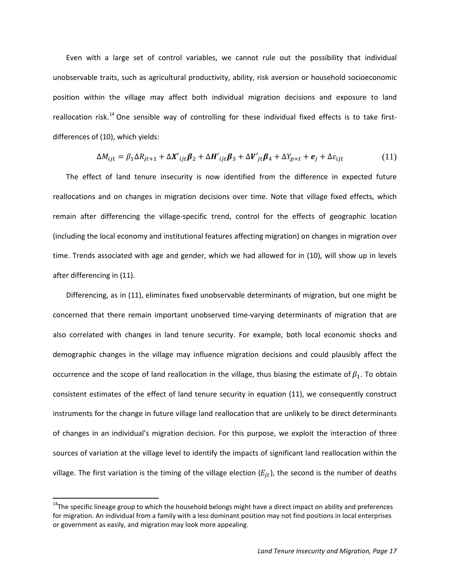Even with a large set of control variables, we cannot rule out the possibility that individual unobservable traits, such as agricultural productivity, ability, risk aversion or household socioeconomic position within the village may affect both individual migration decisions and exposure to land reallocation risk.<sup>[14](#page-15-0)</sup> One sensible way of controlling for these individual fixed effects is to take firstdifferences of (10), which yields:

$$
\Delta M_{ijt} = \beta_1 \Delta R_{jt+1} + \Delta X'_{ijt} \beta_2 + \Delta H'_{ijt} \beta_3 + \Delta V'_{jt} \beta_4 + \Delta Y_{p \times t} + e_j + \Delta \varepsilon_{ijt}
$$
(11)

The effect of land tenure insecurity is now identified from the difference in expected future reallocations and on changes in migration decisions over time. Note that village fixed effects, which remain after differencing the village-specific trend, control for the effects of geographic location (including the local economy and institutional features affecting migration) on changes in migration over time. Trends associated with age and gender, which we had allowed for in (10), will show up in levels after differencing in (11).

<span id="page-18-0"></span>Differencing, as in (11), eliminates fixed unobservable determinants of migration, but one might be concerned that there remain important unobserved time-varying determinants of migration that are also correlated with changes in land tenure security. For example, both local economic shocks and demographic changes in the village may influence migration decisions and could plausibly affect the occurrence and the scope of land reallocation in the village, thus biasing the estimate of  $\beta_1$ . To obtain consistent estimates of the effect of land tenure security in equation (11), we consequently construct instruments for the change in future village land reallocation that are unlikely to be direct determinants of changes in an individual's migration decision. For this purpose, we exploit the interaction of three sources of variation at the village level to identify the impacts of significant land reallocation within the village. The first variation is the timing of the village election  $(E_{jt})$ , the second is the number of deaths

<sup>&</sup>lt;sup>14</sup>The specific lineage group to which the household belongs might have a direct impact on ability and preferences for migration. An individual from a family with a less dominant position may not find positions in local enterprises or government as easily, and migration may look more appealing.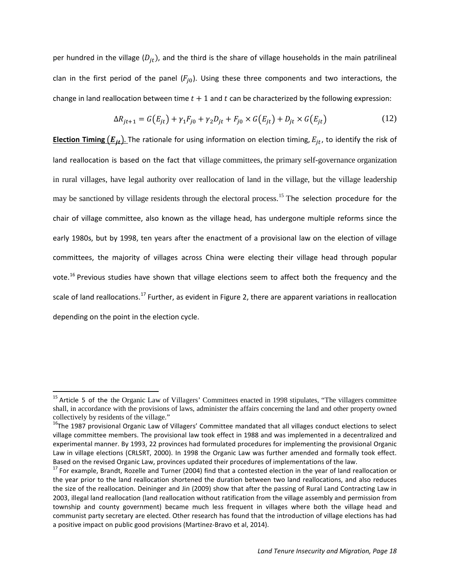per hundred in the village  $(D_{jt})$ , and the third is the share of village households in the main patrilineal clan in the first period of the panel  $(F_{j0})$ . Using these three components and two interactions, the change in land reallocation between time  $t + 1$  and  $t$  can be characterized by the following expression:

$$
\Delta R_{jt+1} = G(E_{jt}) + \gamma_1 F_{j0} + \gamma_2 D_{jt} + F_{j0} \times G(E_{jt}) + D_{jt} \times G(E_{jt})
$$
\n(12)

**Election Timing**  $(E_{it})$ **.** The rationale for using information on election timing,  $E_{jt}$ , to identify the risk of land reallocation is based on the fact that village committees, the primary self-governance organization in rural villages, have legal authority over reallocation of land in the village, but the village leadership may be sanctioned by village residents through the electoral process.<sup>[15](#page-18-0)</sup> The selection procedure for the chair of village committee, also known as the village head, has undergone multiple reforms since the early 1980s, but by 1998, ten years after the enactment of a provisional law on the election of village committees, the majority of villages across China were electing their village head through popular vote.<sup>[16](#page-19-0)</sup> Previous studies have shown that village elections seem to affect both the frequency and the scale of land reallocations.<sup>[17](#page-19-1)</sup> Further, as evident in Figure 2, there are apparent variations in reallocation depending on the point in the election cycle.

<sup>&</sup>lt;sup>15</sup> Article 5 of the the Organic Law of Villagers' Committees enacted in 1998 stipulates, "The villagers committee shall, in accordance with the provisions of laws, administer the affairs concerning the land and other property owned collectively by residents of the village."

<span id="page-19-0"></span><sup>&</sup>lt;sup>16</sup>The 1987 provisional Organic Law of Villagers' Committee mandated that all villages conduct elections to select village committee members. The provisional law took effect in 1988 and was implemented in a decentralized and experimental manner. By 1993, 22 provinces had formulated procedures for implementing the provisional Organic Law in village elections (CRLSRT, 2000). In 1998 the Organic Law was further amended and formally took effect. Based on the revised Organic Law, provinces updated their procedures of implementations of the law.<br><sup>17</sup> For example, Brandt, Rozelle and Turner (2004) find that a contested election in the year of land reallocation or

<span id="page-19-2"></span><span id="page-19-1"></span>the year prior to the land reallocation shortened the duration between two land reallocations, and also reduces the size of the reallocation. Deininger and Jin (2009) show that after the passing of Rural Land Contracting Law in 2003, illegal land reallocation (land reallocation without ratification from the village assembly and permission from township and county government) became much less frequent in villages where both the village head and communist party secretary are elected. Other research has found that the introduction of village elections has had a positive impact on public good provisions (Martinez-Bravo et al, 2014).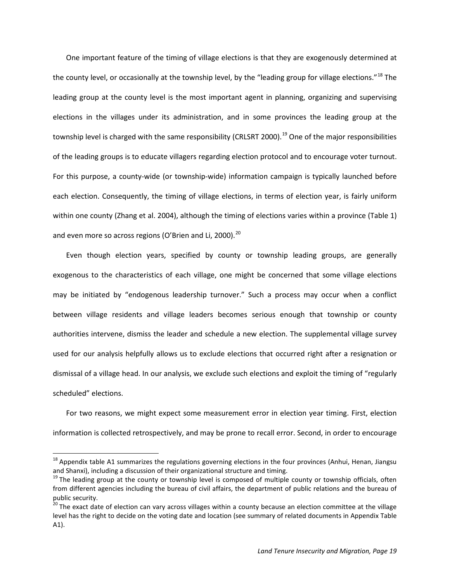One important feature of the timing of village elections is that they are exogenously determined at the county level, or occasionally at the township level, by the "leading group for village elections."<sup>[18](#page-19-2)</sup> The leading group at the county level is the most important agent in planning, organizing and supervising elections in the villages under its administration, and in some provinces the leading group at the township level is charged with the same responsibility (CRLSRT 2000).<sup>[19](#page-20-0)</sup> One of the major responsibilities of the leading groups is to educate villagers regarding election protocol and to encourage voter turnout. For this purpose, a county-wide (or township-wide) information campaign is typically launched before each election. Consequently, the timing of village elections, in terms of election year, is fairly uniform within one county (Zhang et al. 2004), although the timing of elections varies within a province (Table 1) and even more so across regions (O'Brien and Li, [20](#page-20-1)00).<sup>20</sup>

Even though election years, specified by county or township leading groups, are generally exogenous to the characteristics of each village, one might be concerned that some village elections may be initiated by "endogenous leadership turnover." Such a process may occur when a conflict between village residents and village leaders becomes serious enough that township or county authorities intervene, dismiss the leader and schedule a new election. The supplemental village survey used for our analysis helpfully allows us to exclude elections that occurred right after a resignation or dismissal of a village head. In our analysis, we exclude such elections and exploit the timing of "regularly scheduled" elections.

For two reasons, we might expect some measurement error in election year timing. First, election information is collected retrospectively, and may be prone to recall error. Second, in order to encourage

<sup>&</sup>lt;sup>18</sup> Appendix table A1 summarizes the regulations governing elections in the four provinces (Anhui, Henan, Jiangsu and Shanxi), including a discussion of their organizational structure and timing.

<span id="page-20-0"></span><sup>&</sup>lt;sup>19</sup> The leading group at the county or township level is composed of multiple county or township officials, often from different agencies including the bureau of civil affairs, the department of public relations and the bureau of public security.

<span id="page-20-2"></span><span id="page-20-1"></span><sup>&</sup>lt;sup>20</sup> The exact date of election can vary across villages within a county because an election committee at the village level has the right to decide on the voting date and location (see summary of related documents in Appendix Table A1).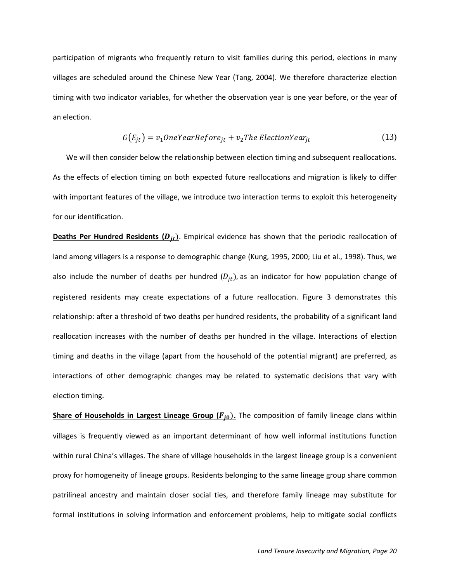participation of migrants who frequently return to visit families during this period, elections in many villages are scheduled around the Chinese New Year (Tang, 2004). We therefore characterize election timing with two indicator variables, for whether the observation year is one year before, or the year of an election.

$$
G(E_{jt}) = v_1 OneYearBefore_{jt} + v_2The ElectronYear_{jt}
$$
\n(13)

We will then consider below the relationship between election timing and subsequent reallocations. As the effects of election timing on both expected future reallocations and migration is likely to differ with important features of the village, we introduce two interaction terms to exploit this heterogeneity for our identification.

**Deaths Per Hundred Residents (D<sub>it</sub>)**. Empirical evidence has shown that the periodic reallocation of land among villagers is a response to demographic change (Kung, 1995, 2000; Liu et al., 1998). Thus, we also include the number of deaths per hundred  $(D_{it})$ , as an indicator for how population change of registered residents may create expectations of a future reallocation. Figure 3 demonstrates this relationship: after a threshold of two deaths per hundred residents, the probability of a significant land reallocation increases with the number of deaths per hundred in the village. Interactions of election timing and deaths in the village (apart from the household of the potential migrant) are preferred, as interactions of other demographic changes may be related to systematic decisions that vary with election timing.

**Share of Households in Largest Lineage Group (F<sub>j0</sub>).** The composition of family lineage clans within villages is frequently viewed as an important determinant of how well informal institutions function within rural China's villages. The share of village households in the largest lineage group is a convenient proxy for homogeneity of lineage groups. Residents belonging to the same lineage group share common patrilineal ancestry and maintain closer social ties, and therefore family lineage may substitute for formal institutions in solving information and enforcement problems, help to mitigate social conflicts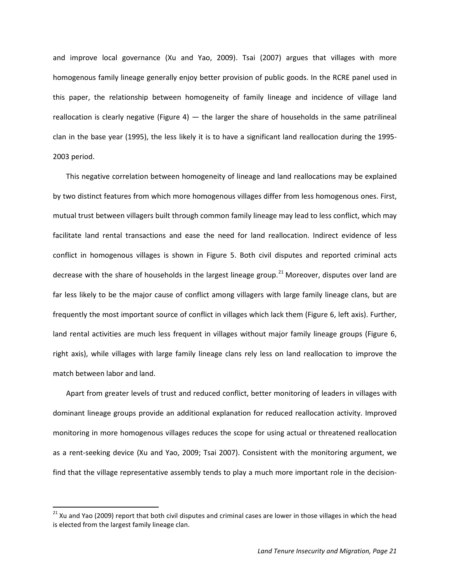and improve local governance (Xu and Yao, 2009). Tsai (2007) argues that villages with more homogenous family lineage generally enjoy better provision of public goods. In the RCRE panel used in this paper, the relationship between homogeneity of family lineage and incidence of village land reallocation is clearly negative (Figure 4)  $-$  the larger the share of households in the same patrilineal clan in the base year (1995), the less likely it is to have a significant land reallocation during the 1995- 2003 period.

This negative correlation between homogeneity of lineage and land reallocations may be explained by two distinct features from which more homogenous villages differ from less homogenous ones. First, mutual trust between villagers built through common family lineage may lead to less conflict, which may facilitate land rental transactions and ease the need for land reallocation. Indirect evidence of less conflict in homogenous villages is shown in Figure 5. Both civil disputes and reported criminal acts decrease with the share of households in the largest lineage group.<sup>[21](#page-20-2)</sup> Moreover, disputes over land are far less likely to be the major cause of conflict among villagers with large family lineage clans, but are frequently the most important source of conflict in villages which lack them (Figure 6, left axis). Further, land rental activities are much less frequent in villages without major family lineage groups (Figure 6, right axis), while villages with large family lineage clans rely less on land reallocation to improve the match between labor and land.

Apart from greater levels of trust and reduced conflict, better monitoring of leaders in villages with dominant lineage groups provide an additional explanation for reduced reallocation activity. Improved monitoring in more homogenous villages reduces the scope for using actual or threatened reallocation as a rent-seeking device (Xu and Yao, 2009; Tsai 2007). Consistent with the monitoring argument, we find that the village representative assembly tends to play a much more important role in the decision-

<span id="page-22-0"></span><sup>&</sup>lt;sup>21</sup> Xu and Yao (2009) report that both civil disputes and criminal cases are lower in those villages in which the head is elected from the largest family lineage clan.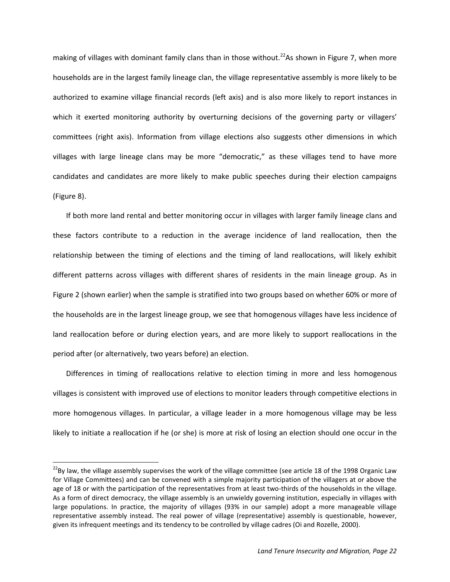making of villages with dominant family clans than in those without.<sup>22</sup>As shown in Figure 7, when more households are in the largest family lineage clan, the village representative assembly is more likely to be authorized to examine village financial records (left axis) and is also more likely to report instances in which it exerted monitoring authority by overturning decisions of the governing party or villagers' committees (right axis). Information from village elections also suggests other dimensions in which villages with large lineage clans may be more "democratic," as these villages tend to have more candidates and candidates are more likely to make public speeches during their election campaigns (Figure 8).

If both more land rental and better monitoring occur in villages with larger family lineage clans and these factors contribute to a reduction in the average incidence of land reallocation, then the relationship between the timing of elections and the timing of land reallocations, will likely exhibit different patterns across villages with different shares of residents in the main lineage group. As in Figure 2 (shown earlier) when the sample is stratified into two groups based on whether 60% or more of the households are in the largest lineage group, we see that homogenous villages have less incidence of land reallocation before or during election years, and are more likely to support reallocations in the period after (or alternatively, two years before) an election.

Differences in timing of reallocations relative to election timing in more and less homogenous villages is consistent with improved use of elections to monitor leaders through competitive elections in more homogenous villages. In particular, a village leader in a more homogenous village may be less likely to initiate a reallocation if he (or she) is more at risk of losing an election should one occur in the

<span id="page-23-0"></span> $^{22}$ By law, the village assembly supervises the work of the village committee (see article 18 of the 1998 Organic Law for Village Committees) and can be convened with a simple majority participation of the villagers at or above the age of 18 or with the participation of the representatives from at least two-thirds of the households in the village. As a form of direct democracy, the village assembly is an unwieldy governing institution, especially in villages with large populations. In practice, the majority of villages (93% in our sample) adopt a more manageable village representative assembly instead. The real power of village (representative) assembly is questionable, however, given its infrequent meetings and its tendency to be controlled by village cadres (Oi and Rozelle, 2000).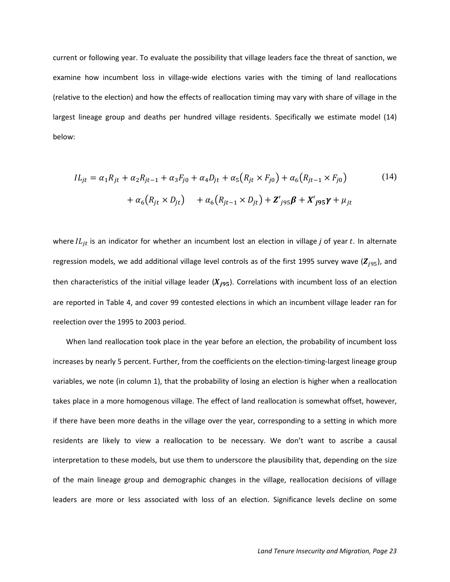current or following year. To evaluate the possibility that village leaders face the threat of sanction, we examine how incumbent loss in village-wide elections varies with the timing of land reallocations (relative to the election) and how the effects of reallocation timing may vary with share of village in the largest lineage group and deaths per hundred village residents. Specifically we estimate model (14) below:

$$
IL_{jt} = \alpha_1 R_{jt} + \alpha_2 R_{jt-1} + \alpha_3 F_{j0} + \alpha_4 D_{jt} + \alpha_5 (R_{jt} \times F_{j0}) + \alpha_6 (R_{jt-1} \times F_{j0})
$$
(14)  
+  $\alpha_6 (R_{jt} \times D_{jt}) + \alpha_6 (R_{jt-1} \times D_{jt}) + \mathbf{Z'}_{j95} \mathbf{\beta} + \mathbf{X'}_{j95} \mathbf{\gamma} + \mu_{jt}$ 

where  $IL_{it}$  is an indicator for whether an incumbent lost an election in village *j* of year *t*. In alternate regression models, we add additional village level controls as of the first 1995 survey wave ( $\mathbb{Z}_{j95}$ ), and then characteristics of the initial village leader  $(X_{j95})$ . Correlations with incumbent loss of an election are reported in Table 4, and cover 99 contested elections in which an incumbent village leader ran for reelection over the 1995 to 2003 period.

When land reallocation took place in the year before an election, the probability of incumbent loss increases by nearly 5 percent. Further, from the coefficients on the election-timing-largest lineage group variables, we note (in column 1), that the probability of losing an election is higher when a reallocation takes place in a more homogenous village. The effect of land reallocation is somewhat offset, however, if there have been more deaths in the village over the year, corresponding to a setting in which more residents are likely to view a reallocation to be necessary. We don't want to ascribe a causal interpretation to these models, but use them to underscore the plausibility that, depending on the size of the main lineage group and demographic changes in the village, reallocation decisions of village leaders are more or less associated with loss of an election. Significance levels decline on some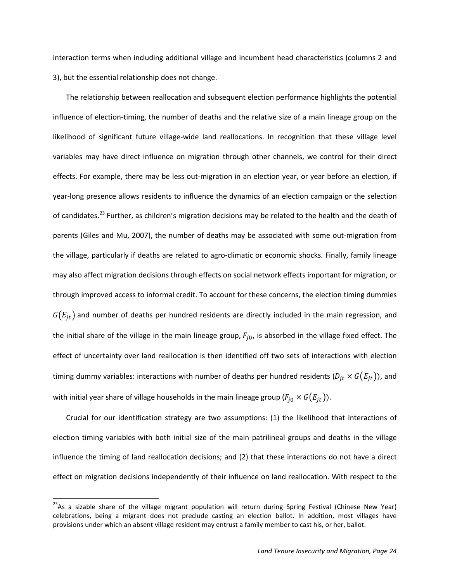interaction terms when including additional village and incumbent head characteristics (columns 2 and 3), but the essential relationship does not change.

The relationship between reallocation and subsequent election performance highlights the potential influence of election-timing, the number of deaths and the relative size of a main lineage group on the likelihood of significant future village-wide land reallocations. In recognition that these village level variables may have direct influence on migration through other channels, we control for their direct effects. For example, there may be less out-migration in an election year, or year before an election, if year-long presence allows residents to influence the dynamics of an election campaign or the selection of candidates.<sup>[23](#page-23-0)</sup> Further, as children's migration decisions may be related to the health and the death of parents (Giles and Mu, 2007), the number of deaths may be associated with some out-migration from the village, particularly if deaths are related to agro-climatic or economic shocks. Finally, family lineage may also affect migration decisions through effects on social network effects important for migration, or through improved access to informal credit. To account for these concerns, the election timing dummies  $G(E_{it})$  and number of deaths per hundred residents are directly included in the main regression, and the initial share of the village in the main lineage group,  $F_{i0}$ , is absorbed in the village fixed effect. The effect of uncertainty over land reallocation is then identified off two sets of interactions with election timing dummy variables: interactions with number of deaths per hundred residents  $(D_{it} \times G(E_{it}))$ , and with initial year share of village households in the main lineage group ( $F_{j0} \times G(E_{it})$ ).

Crucial for our identification strategy are two assumptions: (1) the likelihood that interactions of election timing variables with both initial size of the main patrilineal groups and deaths in the village influence the timing of land reallocation decisions; and (2) that these interactions do not have a direct effect on migration decisions independently of their influence on land reallocation. With respect to the

<span id="page-25-0"></span><sup>&</sup>lt;sup>23</sup>As a sizable share of the village migrant population will return during Spring Festival (Chinese New Year) celebrations, being a migrant does not preclude casting an election ballot. In addition, most villages have provisions under which an absent village resident may entrust a family member to cast his, or her, ballot.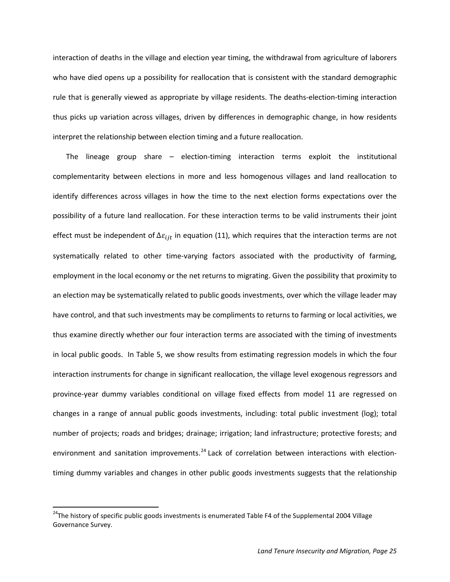interaction of deaths in the village and election year timing, the withdrawal from agriculture of laborers who have died opens up a possibility for reallocation that is consistent with the standard demographic rule that is generally viewed as appropriate by village residents. The deaths-election-timing interaction thus picks up variation across villages, driven by differences in demographic change, in how residents interpret the relationship between election timing and a future reallocation.

The lineage group share – election-timing interaction terms exploit the institutional complementarity between elections in more and less homogenous villages and land reallocation to identify differences across villages in how the time to the next election forms expectations over the possibility of a future land reallocation. For these interaction terms to be valid instruments their joint effect must be independent of  $\Delta \varepsilon_{iit}$  in equation (11), which requires that the interaction terms are not systematically related to other time-varying factors associated with the productivity of farming, employment in the local economy or the net returns to migrating. Given the possibility that proximity to an election may be systematically related to public goods investments, over which the village leader may have control, and that such investments may be compliments to returns to farming or local activities, we thus examine directly whether our four interaction terms are associated with the timing of investments in local public goods. In Table 5, we show results from estimating regression models in which the four interaction instruments for change in significant reallocation, the village level exogenous regressors and province-year dummy variables conditional on village fixed effects from model 11 are regressed on changes in a range of annual public goods investments, including: total public investment (log); total number of projects; roads and bridges; drainage; irrigation; land infrastructure; protective forests; and environment and sanitation improvements.<sup>[24](#page-25-0)</sup> Lack of correlation between interactions with electiontiming dummy variables and changes in other public goods investments suggests that the relationship

<span id="page-26-0"></span><sup>&</sup>lt;sup>24</sup>The history of specific public goods investments is enumerated Table F4 of the Supplemental 2004 Village Governance Survey.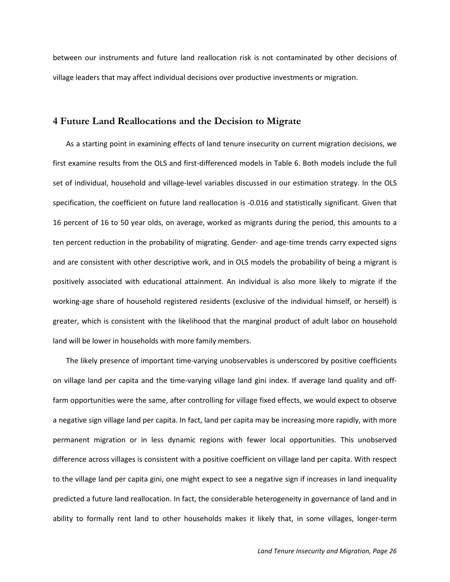between our instruments and future land reallocation risk is not contaminated by other decisions of village leaders that may affect individual decisions over productive investments or migration.

#### **4 Future Land Reallocations and the Decision to Migrate**

As a starting point in examining effects of land tenure insecurity on current migration decisions, we first examine results from the OLS and first-differenced models in Table 6. Both models include the full set of individual, household and village-level variables discussed in our estimation strategy. In the OLS specification, the coefficient on future land reallocation is -0.016 and statistically significant. Given that 16 percent of 16 to 50 year olds, on average, worked as migrants during the period, this amounts to a ten percent reduction in the probability of migrating. Gender- and age-time trends carry expected signs and are consistent with other descriptive work, and in OLS models the probability of being a migrant is positively associated with educational attainment. An individual is also more likely to migrate if the working-age share of household registered residents (exclusive of the individual himself, or herself) is greater, which is consistent with the likelihood that the marginal product of adult labor on household land will be lower in households with more family members.

The likely presence of important time-varying unobservables is underscored by positive coefficients on village land per capita and the time-varying village land gini index. If average land quality and offfarm opportunities were the same, after controlling for village fixed effects, we would expect to observe a negative sign village land per capita. In fact, land per capita may be increasing more rapidly, with more permanent migration or in less dynamic regions with fewer local opportunities. This unobserved difference across villages is consistent with a positive coefficient on village land per capita. With respect to the village land per capita gini, one might expect to see a negative sign if increases in land inequality predicted a future land reallocation. In fact, the considerable heterogeneity in governance of land and in ability to formally rent land to other households makes it likely that, in some villages, longer-term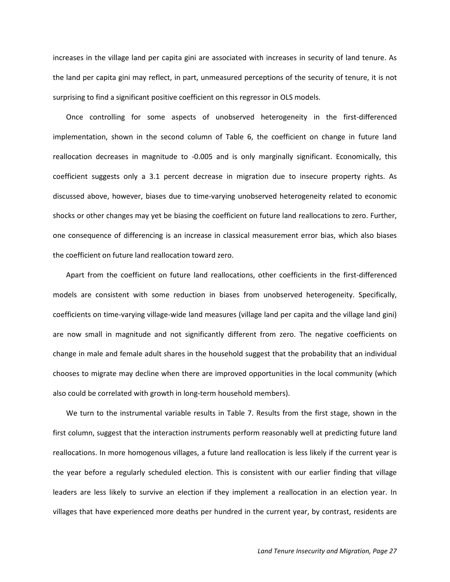increases in the village land per capita gini are associated with increases in security of land tenure. As the land per capita gini may reflect, in part, unmeasured perceptions of the security of tenure, it is not surprising to find a significant positive coefficient on this regressor in OLS models.

Once controlling for some aspects of unobserved heterogeneity in the first-differenced implementation, shown in the second column of Table 6, the coefficient on change in future land reallocation decreases in magnitude to -0.005 and is only marginally significant. Economically, this coefficient suggests only a 3.1 percent decrease in migration due to insecure property rights. As discussed above, however, biases due to time-varying unobserved heterogeneity related to economic shocks or other changes may yet be biasing the coefficient on future land reallocations to zero. Further, one consequence of differencing is an increase in classical measurement error bias, which also biases the coefficient on future land reallocation toward zero.

Apart from the coefficient on future land reallocations, other coefficients in the first-differenced models are consistent with some reduction in biases from unobserved heterogeneity. Specifically, coefficients on time-varying village-wide land measures (village land per capita and the village land gini) are now small in magnitude and not significantly different from zero. The negative coefficients on change in male and female adult shares in the household suggest that the probability that an individual chooses to migrate may decline when there are improved opportunities in the local community (which also could be correlated with growth in long-term household members).

We turn to the instrumental variable results in Table 7. Results from the first stage, shown in the first column, suggest that the interaction instruments perform reasonably well at predicting future land reallocations. In more homogenous villages, a future land reallocation is less likely if the current year is the year before a regularly scheduled election. This is consistent with our earlier finding that village leaders are less likely to survive an election if they implement a reallocation in an election year. In villages that have experienced more deaths per hundred in the current year, by contrast, residents are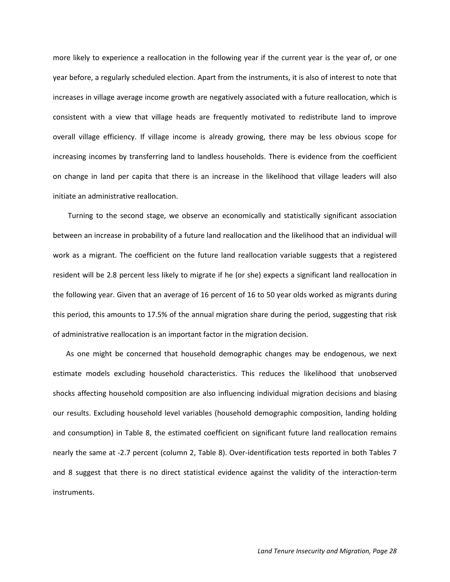more likely to experience a reallocation in the following year if the current year is the year of, or one year before, a regularly scheduled election. Apart from the instruments, it is also of interest to note that increases in village average income growth are negatively associated with a future reallocation, which is consistent with a view that village heads are frequently motivated to redistribute land to improve overall village efficiency. If village income is already growing, there may be less obvious scope for increasing incomes by transferring land to landless households. There is evidence from the coefficient on change in land per capita that there is an increase in the likelihood that village leaders will also initiate an administrative reallocation.

Turning to the second stage, we observe an economically and statistically significant association between an increase in probability of a future land reallocation and the likelihood that an individual will work as a migrant. The coefficient on the future land reallocation variable suggests that a registered resident will be 2.8 percent less likely to migrate if he (or she) expects a significant land reallocation in the following year. Given that an average of 16 percent of 16 to 50 year olds worked as migrants during this period, this amounts to 17.5% of the annual migration share during the period, suggesting that risk of administrative reallocation is an important factor in the migration decision.

As one might be concerned that household demographic changes may be endogenous, we next estimate models excluding household characteristics. This reduces the likelihood that unobserved shocks affecting household composition are also influencing individual migration decisions and biasing our results. Excluding household level variables (household demographic composition, landing holding and consumption) in Table 8, the estimated coefficient on significant future land reallocation remains nearly the same at -2.7 percent (column 2, Table 8). Over-identification tests reported in both Tables 7 and 8 suggest that there is no direct statistical evidence against the validity of the interaction-term instruments.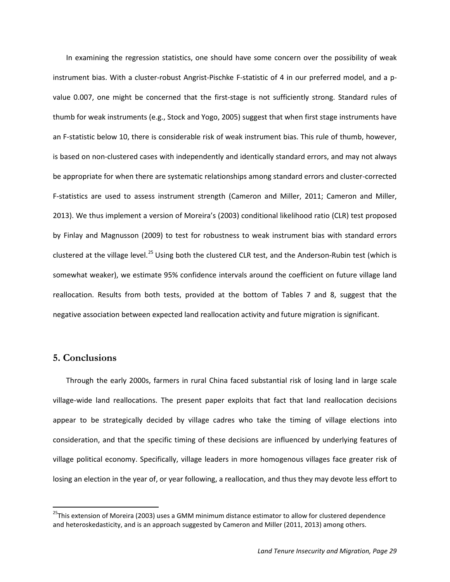In examining the regression statistics, one should have some concern over the possibility of weak instrument bias. With a cluster-robust Angrist-Pischke F-statistic of 4 in our preferred model, and a pvalue 0.007, one might be concerned that the first-stage is not sufficiently strong. Standard rules of thumb for weak instruments (e.g., Stock and Yogo, 2005) suggest that when first stage instruments have an F-statistic below 10, there is considerable risk of weak instrument bias. This rule of thumb, however, is based on non-clustered cases with independently and identically standard errors, and may not always be appropriate for when there are systematic relationships among standard errors and cluster-corrected F-statistics are used to assess instrument strength (Cameron and Miller, 2011; Cameron and Miller, 2013). We thus implement a version of Moreira's (2003) conditional likelihood ratio (CLR) test proposed by Finlay and Magnusson (2009) to test for robustness to weak instrument bias with standard errors clustered at the village level.<sup>[25](#page-26-0)</sup> Using both the clustered CLR test, and the Anderson-Rubin test (which is somewhat weaker), we estimate 95% confidence intervals around the coefficient on future village land reallocation. Results from both tests, provided at the bottom of Tables 7 and 8, suggest that the negative association between expected land reallocation activity and future migration is significant.

## **5. Conclusions**

Through the early 2000s, farmers in rural China faced substantial risk of losing land in large scale village-wide land reallocations. The present paper exploits that fact that land reallocation decisions appear to be strategically decided by village cadres who take the timing of village elections into consideration, and that the specific timing of these decisions are influenced by underlying features of village political economy. Specifically, village leaders in more homogenous villages face greater risk of losing an election in the year of, or year following, a reallocation, and thus they may devote less effort to

<sup>&</sup>lt;sup>25</sup>This extension of Moreira (2003) uses a GMM minimum distance estimator to allow for clustered dependence and heteroskedasticity, and is an approach suggested by Cameron and Miller (2011, 2013) among others.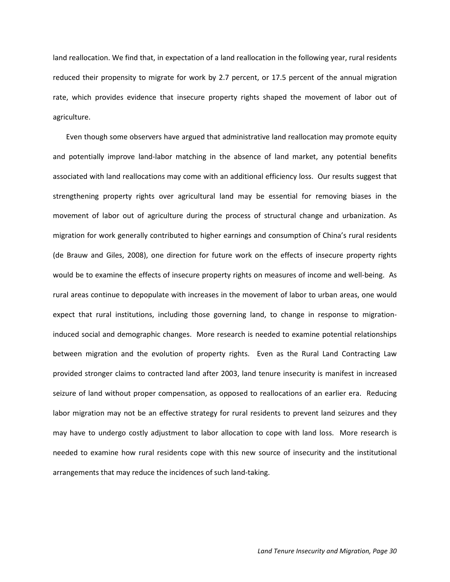land reallocation. We find that, in expectation of a land reallocation in the following year, rural residents reduced their propensity to migrate for work by 2.7 percent, or 17.5 percent of the annual migration rate, which provides evidence that insecure property rights shaped the movement of labor out of agriculture.

Even though some observers have argued that administrative land reallocation may promote equity and potentially improve land-labor matching in the absence of land market, any potential benefits associated with land reallocations may come with an additional efficiency loss. Our results suggest that strengthening property rights over agricultural land may be essential for removing biases in the movement of labor out of agriculture during the process of structural change and urbanization. As migration for work generally contributed to higher earnings and consumption of China's rural residents (de Brauw and Giles, 2008), one direction for future work on the effects of insecure property rights would be to examine the effects of insecure property rights on measures of income and well-being. As rural areas continue to depopulate with increases in the movement of labor to urban areas, one would expect that rural institutions, including those governing land, to change in response to migrationinduced social and demographic changes. More research is needed to examine potential relationships between migration and the evolution of property rights. Even as the Rural Land Contracting Law provided stronger claims to contracted land after 2003, land tenure insecurity is manifest in increased seizure of land without proper compensation, as opposed to reallocations of an earlier era. Reducing labor migration may not be an effective strategy for rural residents to prevent land seizures and they may have to undergo costly adjustment to labor allocation to cope with land loss. More research is needed to examine how rural residents cope with this new source of insecurity and the institutional arrangements that may reduce the incidences of such land-taking.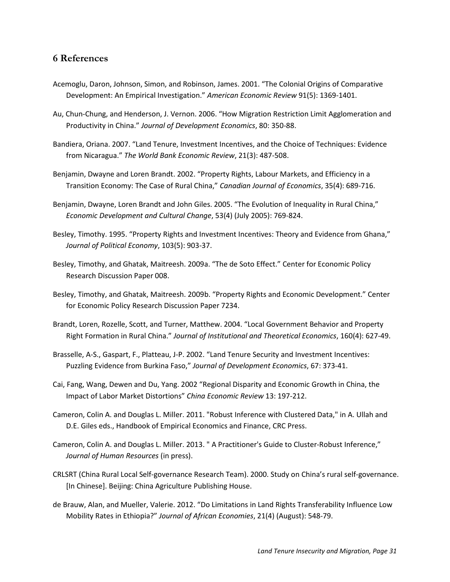### **6 References**

- Acemoglu, Daron, Johnson, Simon, and Robinson, James. 2001. "The Colonial Origins of Comparative Development: An Empirical Investigation." *American Economic Review* 91(5): 1369-1401.
- Au, Chun-Chung, and Henderson, J. Vernon. 2006. "How Migration Restriction Limit Agglomeration and Productivity in China." *Journal of Development Economics*, 80: 350-88.
- Bandiera, Oriana. 2007. "Land Tenure, Investment Incentives, and the Choice of Techniques: Evidence from Nicaragua." *The World Bank Economic Review*, 21(3): 487-508.
- Benjamin, Dwayne and Loren Brandt. 2002. "Property Rights, Labour Markets, and Efficiency in a Transition Economy: The Case of Rural China," *Canadian Journal of Economics*, 35(4): 689-716.
- Benjamin, Dwayne, Loren Brandt and John Giles. 2005. "The Evolution of Inequality in Rural China," *Economic Development and Cultural Change*, 53(4) (July 2005): 769-824.
- Besley, Timothy. 1995. "Property Rights and Investment Incentives: Theory and Evidence from Ghana," *Journal of Political Economy*, 103(5): 903-37.
- Besley, Timothy, and Ghatak, Maitreesh. 2009a. "The de Soto Effect." Center for Economic Policy Research Discussion Paper 008.
- Besley, Timothy, and Ghatak, Maitreesh. 2009b. "Property Rights and Economic Development." Center for Economic Policy Research Discussion Paper 7234.
- Brandt, Loren, Rozelle, Scott, and Turner, Matthew. 2004. "Local Government Behavior and Property Right Formation in Rural China." *Journal of Institutional and Theoretical Economics*, 160(4): 627-49.
- Brasselle, A-S., Gaspart, F., Platteau, J-P. 2002. "Land Tenure Security and Investment Incentives: Puzzling Evidence from Burkina Faso," *Journal of Development Economics*, 67: 373-41.
- Cai, Fang, Wang, Dewen and Du, Yang. 2002 "Regional Disparity and Economic Growth in China, the Impact of Labor Market Distortions" *China Economic Review* 13: 197-212.
- Cameron, Colin A. and Douglas L. Miller. 2011. "Robust Inference with Clustered Data," in A. Ullah and D.E. Giles eds., Handbook of Empirical Economics and Finance, CRC Press.
- Cameron, Colin A. and Douglas L. Miller. 2013. " A Practitioner's Guide to Cluster-Robust Inference," *Journal of Human Resources* (in press).
- CRLSRT (China Rural Local Self-governance Research Team). 2000. Study on China's rural self-governance. [In Chinese]. Beijing: China Agriculture Publishing House.
- de Brauw, Alan, and Mueller, Valerie. 2012. "Do Limitations in Land Rights Transferability Influence Low Mobility Rates in Ethiopia?" *Journal of African Economies*, 21(4) (August): 548-79.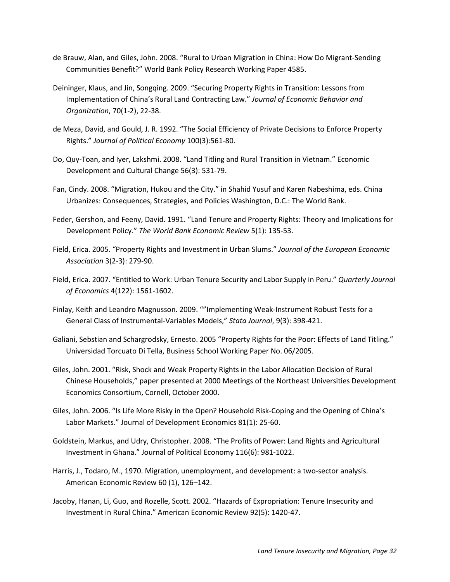- de Brauw, Alan, and Giles, John. 2008. "Rural to Urban Migration in China: How Do Migrant-Sending Communities Benefit?" World Bank Policy Research Working Paper 4585.
- Deininger, Klaus, and Jin, Songqing. 2009. "Securing Property Rights in Transition: Lessons from Implementation of China's Rural Land Contracting Law." *Journal of Economic Behavior and Organization*, 70(1-2), 22-38.
- de Meza, David, and Gould, J. R. 1992. "The Social Efficiency of Private Decisions to Enforce Property Rights." *Journal of Political Economy* 100(3):561-80.
- Do, Quy-Toan, and Iyer, Lakshmi. 2008. "Land Titling and Rural Transition in Vietnam." Economic Development and Cultural Change 56(3): 531-79.
- Fan, Cindy. 2008. "Migration, Hukou and the City." in Shahid Yusuf and Karen Nabeshima, eds. China Urbanizes: Consequences, Strategies, and Policies Washington, D.C.: The World Bank.
- Feder, Gershon, and Feeny, David. 1991. "Land Tenure and Property Rights: Theory and Implications for Development Policy." *The World Bank Economic Review* 5(1): 135-53.
- Field, Erica. 2005. "Property Rights and Investment in Urban Slums." *Journal of the European Economic Association* 3(2-3): 279-90.
- Field, Erica. 2007. "Entitled to Work: Urban Tenure Security and Labor Supply in Peru." *Quarterly Journal of Economics* 4(122): 1561-1602.
- Finlay, Keith and Leandro Magnusson. 2009. ""Implementing Weak-Instrument Robust Tests for a General Class of Instrumental-Variables Models," *Stata Journal*, 9(3): 398-421.
- Galiani, Sebstian and Schargrodsky, Ernesto. 2005 "Property Rights for the Poor: Effects of Land Titling." Universidad Torcuato Di Tella, Business School Working Paper No. 06/2005.
- Giles, John. 2001. "Risk, Shock and Weak Property Rights in the Labor Allocation Decision of Rural Chinese Households," paper presented at 2000 Meetings of the Northeast Universities Development Economics Consortium, Cornell, October 2000.
- Giles, John. 2006. "Is Life More Risky in the Open? Household Risk-Coping and the Opening of China's Labor Markets." Journal of Development Economics 81(1): 25-60.
- Goldstein, Markus, and Udry, Christopher. 2008. "The Profits of Power: Land Rights and Agricultural Investment in Ghana." Journal of Political Economy 116(6): 981-1022.
- Harris, J., Todaro, M., 1970. Migration, unemployment, and development: a two-sector analysis. American Economic Review 60 (1), 126–142.
- Jacoby, Hanan, Li, Guo, and Rozelle, Scott. 2002. "Hazards of Expropriation: Tenure Insecurity and Investment in Rural China." American Economic Review 92(5): 1420-47.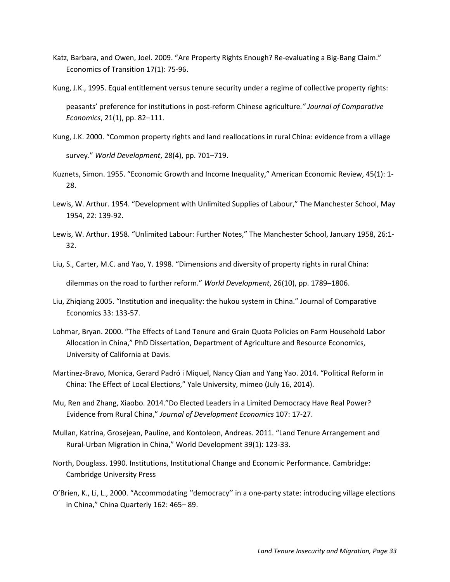- Katz, Barbara, and Owen, Joel. 2009. "Are Property Rights Enough? Re-evaluating a Big-Bang Claim." Economics of Transition 17(1): 75-96.
- Kung, J.K., 1995. Equal entitlement versus tenure security under a regime of collective property rights: peasants' preference for institutions in post-reform Chinese agriculture*." Journal of Comparative Economics*, 21(1), pp. 82–111.
- Kung, J.K. 2000. "Common property rights and land reallocations in rural China: evidence from a village survey." *World Development*, 28(4), pp. 701–719.
- Kuznets, Simon. 1955. "Economic Growth and Income Inequality," American Economic Review, 45(1): 1- 28.
- Lewis, W. Arthur. 1954. "Development with Unlimited Supplies of Labour," The Manchester School, May 1954, 22: 139-92.
- Lewis, W. Arthur. 1958. "Unlimited Labour: Further Notes," The Manchester School, January 1958, 26:1- 32.
- Liu, S., Carter, M.C. and Yao, Y. 1998. "Dimensions and diversity of property rights in rural China: dilemmas on the road to further reform." *World Development*, 26(10), pp. 1789–1806.
- Liu, Zhiqiang 2005. "Institution and inequality: the hukou system in China." Journal of Comparative Economics 33: 133-57.
- Lohmar, Bryan. 2000. "The Effects of Land Tenure and Grain Quota Policies on Farm Household Labor Allocation in China," PhD Dissertation, Department of Agriculture and Resource Economics, University of California at Davis.
- Martinez-Bravo, Monica, Gerard Padró i Miquel, Nancy Qian and Yang Yao. 2014. "Political Reform in China: The Effect of Local Elections," Yale University, mimeo (July 16, 2014).
- Mu, Ren and Zhang, Xiaobo. 2014."Do Elected Leaders in a Limited Democracy Have Real Power? Evidence from Rural China," *Journal of Development Economics* 107: 17-27.
- Mullan, Katrina, Grosejean, Pauline, and Kontoleon, Andreas. 2011. "Land Tenure Arrangement and Rural-Urban Migration in China," World Development 39(1): 123-33.
- North, Douglass. 1990. Institutions, Institutional Change and Economic Performance. Cambridge: Cambridge University Press
- O'Brien, K., Li, L., 2000. "Accommodating ''democracy'' in a one-party state: introducing village elections in China," China Quarterly 162: 465– 89.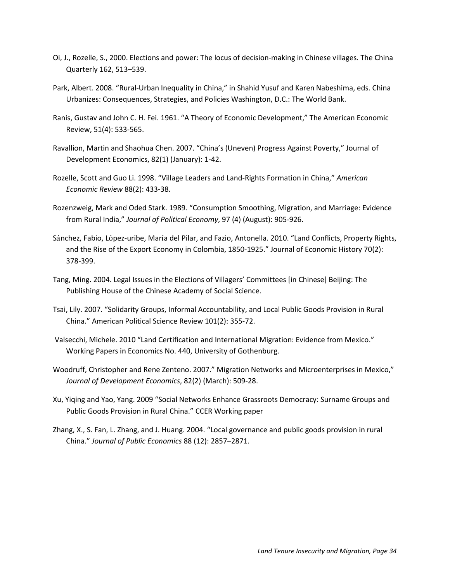- Oi, J., Rozelle, S., 2000. Elections and power: The locus of decision-making in Chinese villages. The China Quarterly 162, 513–539.
- Park, Albert. 2008. "Rural-Urban Inequality in China," in Shahid Yusuf and Karen Nabeshima, eds. China Urbanizes: Consequences, Strategies, and Policies Washington, D.C.: The World Bank.
- Ranis, Gustav and John C. H. Fei. 1961. "A Theory of Economic Development," The American Economic Review, 51(4): 533-565.
- Ravallion, Martin and Shaohua Chen. 2007. "China's (Uneven) Progress Against Poverty," Journal of Development Economics, 82(1) (January): 1-42.
- Rozelle, Scott and Guo Li. 1998. "Village Leaders and Land-Rights Formation in China," *American Economic Review* 88(2): 433-38.
- Rozenzweig, Mark and Oded Stark. 1989. "Consumption Smoothing, Migration, and Marriage: Evidence from Rural India," *Journal of Political Economy*, 97 (4) (August): 905-926.
- Sánchez, Fabio, López-uribe, María del Pilar, and Fazio, Antonella. 2010. "Land Conflicts, Property Rights, and the Rise of the Export Economy in Colombia, 1850-1925." Journal of Economic History 70(2): 378-399.
- Tang, Ming. 2004. Legal Issues in the Elections of Villagers' Committees [in Chinese] Beijing: The Publishing House of the Chinese Academy of Social Science.
- Tsai, Lily. 2007. "Solidarity Groups, Informal Accountability, and Local Public Goods Provision in Rural China." American Political Science Review 101(2): 355-72.
- Valsecchi, Michele. 2010 "Land Certification and International Migration: Evidence from Mexico." Working Papers in Economics No. 440, University of Gothenburg.
- Woodruff, Christopher and Rene Zenteno. 2007." Migration Networks and Microenterprises in Mexico," *Journal of Development Economics*, 82(2) (March): 509-28.
- Xu, Yiqing and Yao, Yang. 2009 "Social Networks Enhance Grassroots Democracy: Surname Groups and Public Goods Provision in Rural China." CCER Working paper
- Zhang, X., S. Fan, L. Zhang, and J. Huang. 2004. "Local governance and public goods provision in rural China." *Journal of Public Economics* 88 (12): 2857–2871.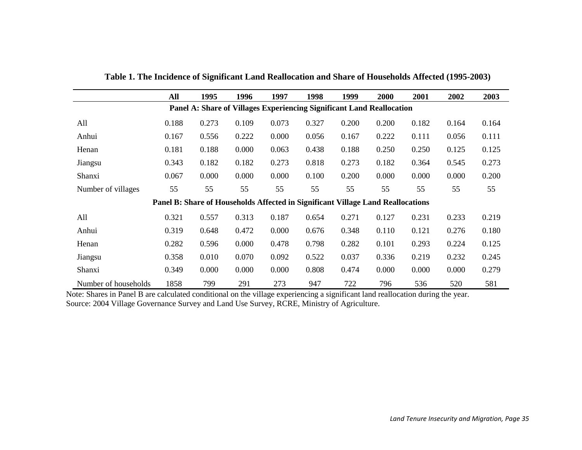|                                                                       | All   | 1995                                                                            | 1996  | 1997  | 1998  | 1999  | 2000  | 2001  | 2002  | 2003  |
|-----------------------------------------------------------------------|-------|---------------------------------------------------------------------------------|-------|-------|-------|-------|-------|-------|-------|-------|
| Panel A: Share of Villages Experiencing Significant Land Reallocation |       |                                                                                 |       |       |       |       |       |       |       |       |
| All                                                                   | 0.188 | 0.273                                                                           | 0.109 | 0.073 | 0.327 | 0.200 | 0.200 | 0.182 | 0.164 | 0.164 |
| Anhui                                                                 | 0.167 | 0.556                                                                           | 0.222 | 0.000 | 0.056 | 0.167 | 0.222 | 0.111 | 0.056 | 0.111 |
| Henan                                                                 | 0.181 | 0.188                                                                           | 0.000 | 0.063 | 0.438 | 0.188 | 0.250 | 0.250 | 0.125 | 0.125 |
| Jiangsu                                                               | 0.343 | 0.182                                                                           | 0.182 | 0.273 | 0.818 | 0.273 | 0.182 | 0.364 | 0.545 | 0.273 |
| Shanxi                                                                | 0.067 | 0.000                                                                           | 0.000 | 0.000 | 0.100 | 0.200 | 0.000 | 0.000 | 0.000 | 0.200 |
| Number of villages                                                    | 55    | 55                                                                              | 55    | 55    | 55    | 55    | 55    | 55    | 55    | 55    |
|                                                                       |       | Panel B: Share of Households Affected in Significant Village Land Reallocations |       |       |       |       |       |       |       |       |
| All                                                                   | 0.321 | 0.557                                                                           | 0.313 | 0.187 | 0.654 | 0.271 | 0.127 | 0.231 | 0.233 | 0.219 |
| Anhui                                                                 | 0.319 | 0.648                                                                           | 0.472 | 0.000 | 0.676 | 0.348 | 0.110 | 0.121 | 0.276 | 0.180 |
| Henan                                                                 | 0.282 | 0.596                                                                           | 0.000 | 0.478 | 0.798 | 0.282 | 0.101 | 0.293 | 0.224 | 0.125 |
| Jiangsu                                                               | 0.358 | 0.010                                                                           | 0.070 | 0.092 | 0.522 | 0.037 | 0.336 | 0.219 | 0.232 | 0.245 |
| Shanxi                                                                | 0.349 | 0.000                                                                           | 0.000 | 0.000 | 0.808 | 0.474 | 0.000 | 0.000 | 0.000 | 0.279 |
| Number of households                                                  | 1858  | 799                                                                             | 291   | 273   | 947   | 722   | 796   | 536   | 520   | 581   |

**Table 1. The Incidence of Significant Land Reallocation and Share of Households Affected (1995-2003)**

Note: Shares in Panel B are calculated conditional on the village experiencing a significant land reallocation during the year. Source: 2004 Village Governance Survey and Land Use Survey, RCRE, Ministry of Agriculture.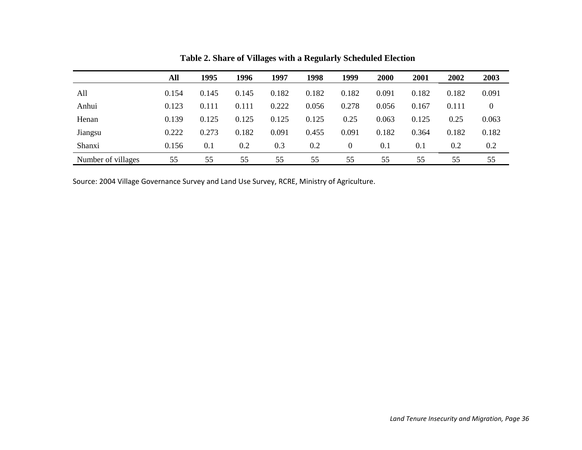|                    | All   | 1995  | 1996  | 1997  | 1998  | 1999           | 2000  | 2001  | 2002  | 2003  |
|--------------------|-------|-------|-------|-------|-------|----------------|-------|-------|-------|-------|
| All                | 0.154 | 0.145 | 0.145 | 0.182 | 0.182 | 0.182          | 0.091 | 0.182 | 0.182 | 0.091 |
| Anhui              | 0.123 | 0.111 | 0.111 | 0.222 | 0.056 | 0.278          | 0.056 | 0.167 | 0.111 | 0     |
| Henan              | 0.139 | 0.125 | 0.125 | 0.125 | 0.125 | 0.25           | 0.063 | 0.125 | 0.25  | 0.063 |
| Jiangsu            | 0.222 | 0.273 | 0.182 | 0.091 | 0.455 | 0.091          | 0.182 | 0.364 | 0.182 | 0.182 |
| Shanxi             | 0.156 | 0.1   | 0.2   | 0.3   | 0.2   | $\overline{0}$ | 0.1   | 0.1   | 0.2   | 0.2   |
| Number of villages | 55    | 55    | 55    | 55    | 55    | 55             | 55    | 55    | 55    | 55    |

**Table 2. Share of Villages with a Regularly Scheduled Election**

Source: 2004 Village Governance Survey and Land Use Survey, RCRE, Ministry of Agriculture.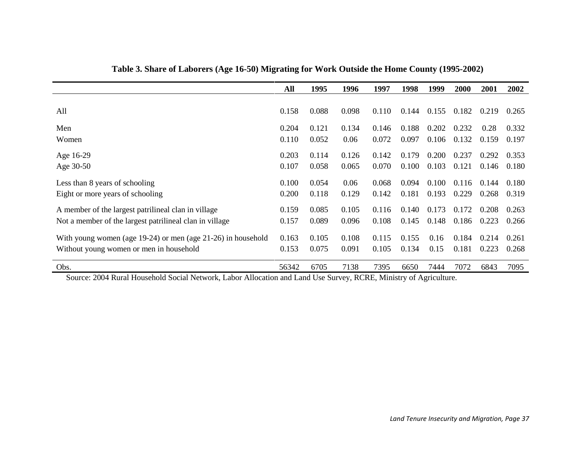|                                                                                                                                                                 | All   | 1995  | 1996  | 1997  | 1998  | 1999  | 2000  | 2001  | 2002  |
|-----------------------------------------------------------------------------------------------------------------------------------------------------------------|-------|-------|-------|-------|-------|-------|-------|-------|-------|
|                                                                                                                                                                 |       |       |       |       |       |       |       |       |       |
| All                                                                                                                                                             | 0.158 | 0.088 | 0.098 | 0.110 | 0.144 | 0.155 | 0.182 | 0.219 | 0.265 |
| Men                                                                                                                                                             | 0.204 | 0.121 | 0.134 | 0.146 | 0.188 | 0.202 | 0.232 | 0.28  | 0.332 |
| Women                                                                                                                                                           | 0.110 | 0.052 | 0.06  | 0.072 | 0.097 | 0.106 | 0.132 | 0.159 | 0.197 |
| Age 16-29                                                                                                                                                       | 0.203 | 0.114 | 0.126 | 0.142 | 0.179 | 0.200 | 0.237 | 0.292 | 0.353 |
| Age 30-50                                                                                                                                                       | 0.107 | 0.058 | 0.065 | 0.070 | 0.100 | 0.103 | 0.121 | 0.146 | 0.180 |
| Less than 8 years of schooling                                                                                                                                  | 0.100 | 0.054 | 0.06  | 0.068 | 0.094 | 0.100 | 0.116 | 0.144 | 0.180 |
| Eight or more years of schooling                                                                                                                                | 0.200 | 0.118 | 0.129 | 0.142 | 0.181 | 0.193 | 0.229 | 0.268 | 0.319 |
| A member of the largest patrilineal clan in village                                                                                                             | 0.159 | 0.085 | 0.105 | 0.116 | 0.140 | 0.173 | 0.172 | 0.208 | 0.263 |
| Not a member of the largest patrilineal clan in village                                                                                                         | 0.157 | 0.089 | 0.096 | 0.108 | 0.145 | 0.148 | 0.186 | 0.223 | 0.266 |
| With young women (age $19-24$ ) or men (age $21-26$ ) in household                                                                                              | 0.163 | 0.105 | 0.108 | 0.115 | 0.155 | 0.16  | 0.184 | 0.214 | 0.261 |
| Without young women or men in household                                                                                                                         | 0.153 | 0.075 | 0.091 | 0.105 | 0.134 | 0.15  | 0.181 | 0.223 | 0.268 |
| Obs.<br>$\sim$ $\sim$ $\sim$<br>$\bullet$ $\bullet$ $\bullet$ $\bullet$ $\bullet$ $\bullet$ $\bullet$ $\bullet$<br>$\sim$ $\sim$ $\sim$<br>$\sim$ $\sim$ $\sim$ | 56342 | 6705  | 7138  | 7395  | 6650  | 7444  | 7072  | 6843  | 7095  |

**Table 3. Share of Laborers (Age 16-50) Migrating for Work Outside the Home County (1995-2002)**

Source: 2004 Rural Household Social Network, Labor Allocation and Land Use Survey, RCRE, Ministry of Agriculture.

J.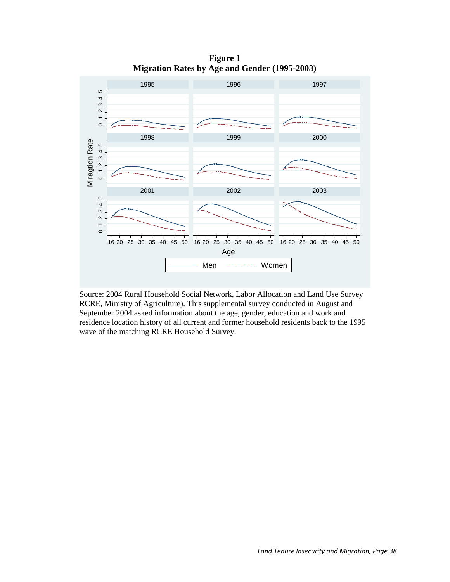

**Figure 1 Migration Rates by Age and Gender (1995-2003)**

Source: 2004 Rural Household Social Network, Labor Allocation and Land Use Survey RCRE, Ministry of Agriculture). This supplemental survey conducted in August and September 2004 asked information about the age, gender, education and work and residence location history of all current and former household residents back to the 1995 wave of the matching RCRE Household Survey.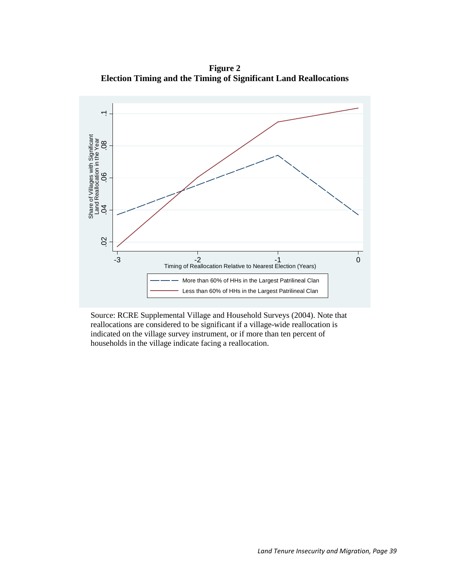**Figure 2 Election Timing and the Timing of Significant Land Reallocations**



Source: RCRE Supplemental Village and Household Surveys (2004). Note that reallocations are considered to be significant if a village-wide reallocation is indicated on the village survey instrument, or if more than ten percent of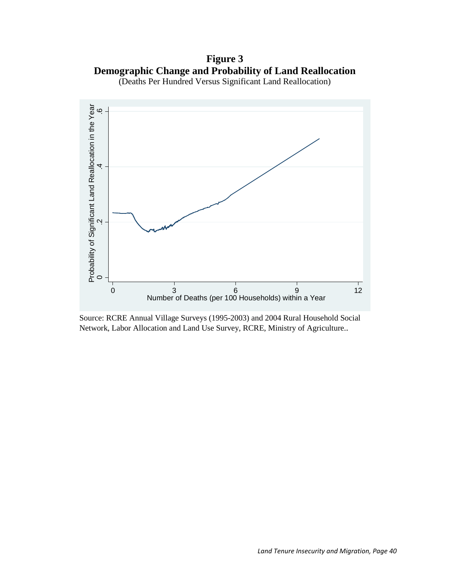**Figure 3 Demographic Change and Probability of Land Reallocation** (Deaths Per Hundred Versus Significant Land Reallocation)



Source: RCRE Annual Village Surveys (1995-2003) and 2004 Rural Household Social Network, Labor Allocation and Land Use Survey, RCRE, Ministry of Agriculture..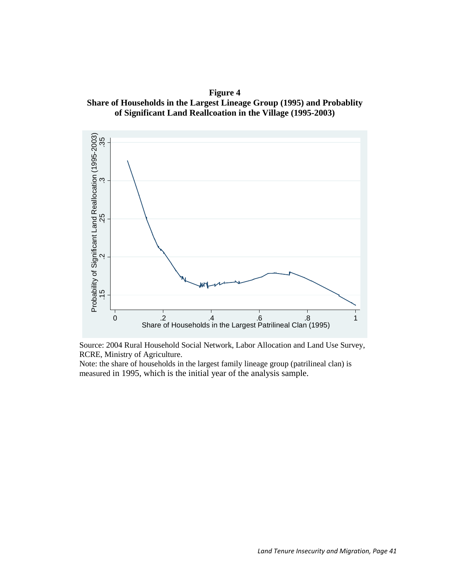**Figure 4 Share of Households in the Largest Lineage Group (1995) and Probablity of Significant Land Reallcoation in the Village (1995-2003)**





Note: the share of households in the largest family lineage group (patrilineal clan) is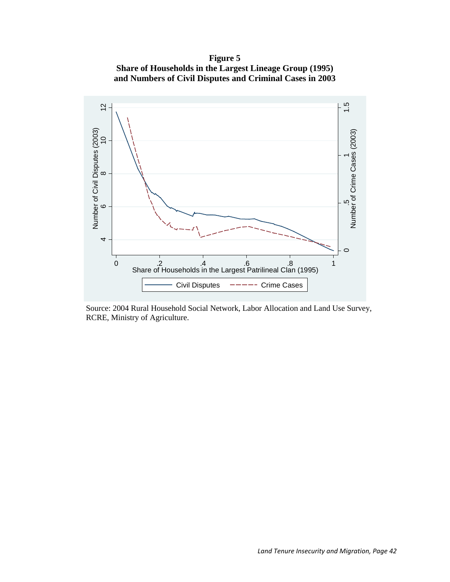**Figure 5 Share of Households in the Largest Lineage Group (1995) and Numbers of Civil Disputes and Criminal Cases in 2003**



Source: 2004 Rural Household Social Network, Labor Allocation and Land Use Survey, RCRE, Ministry of Agriculture.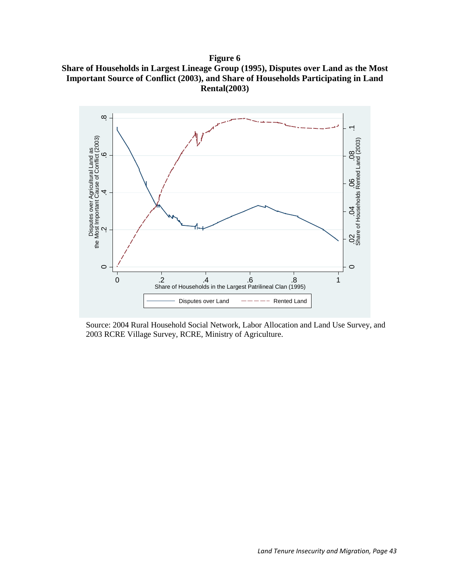**Figure 6 Share of Households in Largest Lineage Group (1995), Disputes over Land as the Most Important Source of Conflict (2003), and Share of Households Participating in Land Rental(2003)**



Source: 2004 Rural Household Social Network, Labor Allocation and Land Use Survey, and 2003 RCRE Village Survey, RCRE, Ministry of Agriculture.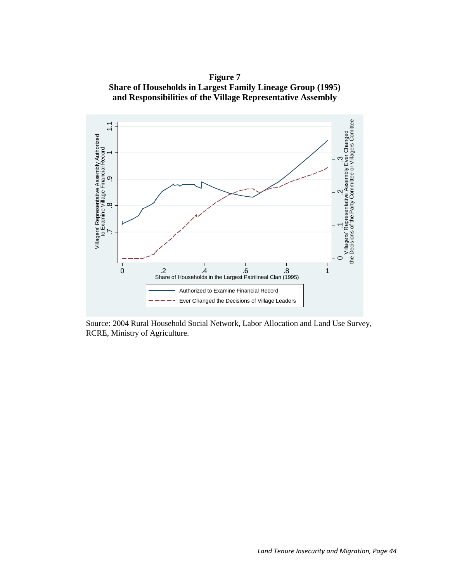**Figure 7 Share of Households in Largest Family Lineage Group (1995) and Responsibilities of the Village Representative Assembly**



Source: 2004 Rural Household Social Network, Labor Allocation and Land Use Survey, RCRE, Ministry of Agriculture.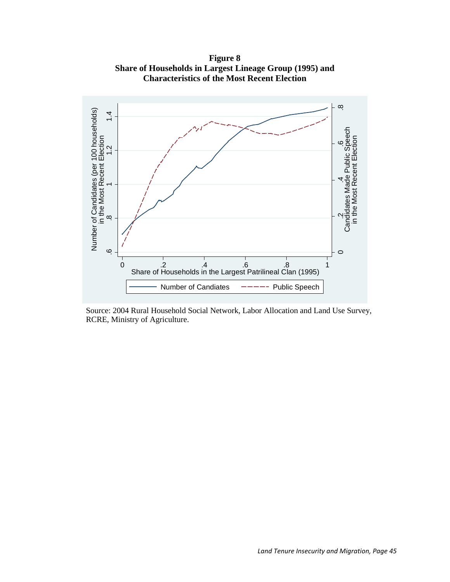**Figure 8 Share of Households in Largest Lineage Group (1995) and Characteristics of the Most Recent Election**



Source: 2004 Rural Household Social Network, Labor Allocation and Land Use Survey, RCRE, Ministry of Agriculture.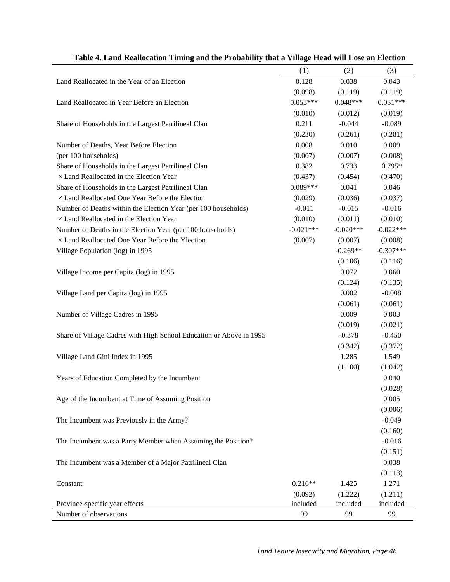|                                                                     | (1)         | (2)         | (3)         |
|---------------------------------------------------------------------|-------------|-------------|-------------|
| Land Reallocated in the Year of an Election                         | 0.128       | 0.038       | 0.043       |
|                                                                     | (0.098)     | (0.119)     | (0.119)     |
| Land Reallocated in Year Before an Election                         | $0.053***$  | $0.048***$  | $0.051***$  |
|                                                                     | (0.010)     | (0.012)     | (0.019)     |
| Share of Households in the Largest Patrilineal Clan                 | 0.211       | $-0.044$    | $-0.089$    |
|                                                                     | (0.230)     | (0.261)     | (0.281)     |
| Number of Deaths, Year Before Election                              | 0.008       | 0.010       | 0.009       |
| (per 100 households)                                                | (0.007)     | (0.007)     | (0.008)     |
| Share of Households in the Largest Patrilineal Clan                 | 0.382       | 0.733       | $0.795*$    |
| × Land Reallocated in the Election Year                             | (0.437)     | (0.454)     | (0.470)     |
| Share of Households in the Largest Patrilineal Clan                 | $0.089***$  | 0.041       | 0.046       |
| $\times$ Land Reallocated One Year Before the Election              | (0.029)     | (0.036)     | (0.037)     |
| Number of Deaths within the Election Year (per 100 households)      | $-0.011$    | $-0.015$    | $-0.016$    |
| × Land Reallocated in the Election Year                             | (0.010)     | (0.011)     | (0.010)     |
| Number of Deaths in the Election Year (per 100 households)          | $-0.021***$ | $-0.020***$ | $-0.022***$ |
| × Land Reallocated One Year Before the Ylection                     | (0.007)     | (0.007)     | (0.008)     |
| Village Population (log) in 1995                                    |             | $-0.269**$  | $-0.307***$ |
|                                                                     |             | (0.106)     | (0.116)     |
| Village Income per Capita (log) in 1995                             |             | 0.072       | 0.060       |
|                                                                     |             | (0.124)     | (0.135)     |
| Village Land per Capita (log) in 1995                               |             | 0.002       | $-0.008$    |
|                                                                     |             | (0.061)     | (0.061)     |
| Number of Village Cadres in 1995                                    |             | 0.009       | 0.003       |
|                                                                     |             | (0.019)     | (0.021)     |
| Share of Village Cadres with High School Education or Above in 1995 |             | $-0.378$    | $-0.450$    |
|                                                                     |             | (0.342)     | (0.372)     |
| Village Land Gini Index in 1995                                     |             | 1.285       | 1.549       |
|                                                                     |             | (1.100)     | (1.042)     |
| Years of Education Completed by the Incumbent                       |             |             | 0.040       |
|                                                                     |             |             | (0.028)     |
| Age of the Incumbent at Time of Assuming Position                   |             |             | 0.005       |
|                                                                     |             |             | (0.006)     |
| The Incumbent was Previously in the Army?                           |             |             | $-0.049$    |
|                                                                     |             |             | (0.160)     |
| The Incumbent was a Party Member when Assuming the Position?        |             |             | $-0.016$    |
|                                                                     |             |             | (0.151)     |
| The Incumbent was a Member of a Major Patrilineal Clan              |             |             | 0.038       |
|                                                                     |             |             | (0.113)     |
| Constant                                                            | $0.216**$   | 1.425       | 1.271       |
|                                                                     | (0.092)     | (1.222)     | (1.211)     |
| Province-specific year effects                                      | included    | included    | included    |
| Number of observations                                              | 99          | 99          | 99          |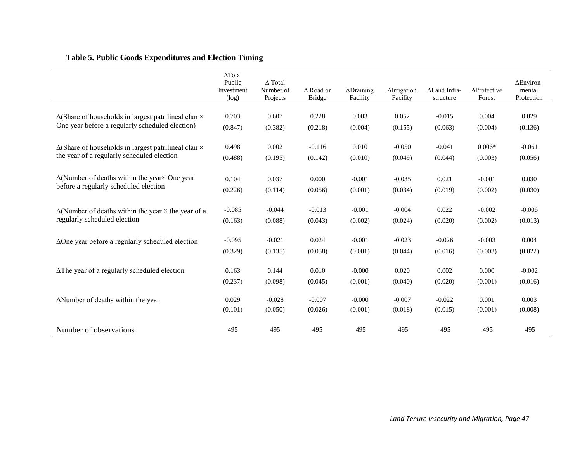## **Table 5. Public Goods Expenditures and Election Timing**

|                                                                    | ΔTotal<br>Public<br>Investment<br>(log) | $\triangle$ Total<br>Number of<br>Projects | $\triangle$ Road or<br><b>Bridge</b> | $\triangle$ Draining<br>Facility | <b>AIrrigation</b><br>Facility | ALand Infra-<br>structure | $\Delta$ Protective<br>Forest | ΔEnviron-<br>mental<br>Protection |
|--------------------------------------------------------------------|-----------------------------------------|--------------------------------------------|--------------------------------------|----------------------------------|--------------------------------|---------------------------|-------------------------------|-----------------------------------|
| $\Delta$ (Share of households in largest patrilineal clan $\times$ | 0.703                                   | 0.607                                      | 0.228                                | 0.003                            | 0.052                          | $-0.015$                  | 0.004                         | 0.029                             |
| One year before a regularly scheduled election)                    | (0.847)                                 | (0.382)                                    | (0.218)                              | (0.004)                          | (0.155)                        | (0.063)                   | (0.004)                       | (0.136)                           |
| $\Delta$ (Share of households in largest patrilineal clan $\times$ | 0.498                                   | 0.002                                      | $-0.116$                             | 0.010                            | $-0.050$                       | $-0.041$                  | $0.006*$                      | $-0.061$                          |
| the year of a regularly scheduled election                         | (0.488)                                 | (0.195)                                    | (0.142)                              | (0.010)                          | (0.049)                        | (0.044)                   | (0.003)                       | (0.056)                           |
| $\Delta$ (Number of deaths within the year $\Delta$ One year       | 0.104                                   | 0.037                                      | 0.000                                | $-0.001$                         | $-0.035$                       | 0.021                     | $-0.001$                      | 0.030                             |
| before a regularly scheduled election                              | (0.226)                                 | (0.114)                                    | (0.056)                              | (0.001)                          | (0.034)                        | (0.019)                   | (0.002)                       | (0.030)                           |
| $\Delta$ (Number of deaths within the year $\times$ the year of a  | $-0.085$                                | $-0.044$                                   | $-0.013$                             | $-0.001$                         | $-0.004$                       | 0.022                     | $-0.002$                      | $-0.006$                          |
| regularly scheduled election                                       | (0.163)                                 | (0.088)                                    | (0.043)                              | (0.002)                          | (0.024)                        | (0.020)                   | (0.002)                       | (0.013)                           |
| $\Delta$ One year before a regularly scheduled election            | $-0.095$                                | $-0.021$                                   | 0.024                                | $-0.001$                         | $-0.023$                       | $-0.026$                  | $-0.003$                      | 0.004                             |
|                                                                    | (0.329)                                 | (0.135)                                    | (0.058)                              | (0.001)                          | (0.044)                        | (0.016)                   | (0.003)                       | (0.022)                           |
| $\Delta$ The year of a regularly scheduled election                | 0.163                                   | 0.144                                      | 0.010                                | $-0.000$                         | 0.020                          | 0.002                     | 0.000                         | $-0.002$                          |
|                                                                    | (0.237)                                 | (0.098)                                    | (0.045)                              | (0.001)                          | (0.040)                        | (0.020)                   | (0.001)                       | (0.016)                           |
| $\Delta$ Number of deaths within the year                          | 0.029                                   | $-0.028$                                   | $-0.007$                             | $-0.000$                         | $-0.007$                       | $-0.022$                  | 0.001                         | 0.003                             |
|                                                                    | (0.101)                                 | (0.050)                                    | (0.026)                              | (0.001)                          | (0.018)                        | (0.015)                   | (0.001)                       | (0.008)                           |
| Number of observations                                             | 495                                     | 495                                        | 495                                  | 495                              | 495                            | 495                       | 495                           | 495                               |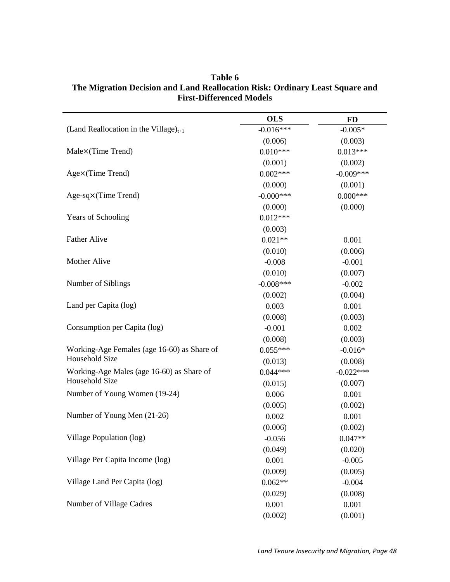|                                             | <b>OLS</b>   | <b>FD</b>   |
|---------------------------------------------|--------------|-------------|
| (Land Reallocation in the Village) $_{t+1}$ | $-0.016***$  | $-0.005*$   |
|                                             | (0.006)      | (0.003)     |
| Male×(Time Trend)                           | $0.010***$   | $0.013***$  |
|                                             | (0.001)      | (0.002)     |
| Age×(Time Trend)                            | $0.002***$   | $-0.009***$ |
|                                             | (0.000)      | (0.001)     |
| $Age-sq\times(Time Trend)$                  | $-0.000***$  | $0.000***$  |
|                                             | (0.000)      | (0.000)     |
| Years of Schooling                          | $0.012***$   |             |
|                                             | (0.003)      |             |
| <b>Father Alive</b>                         | $0.021**$    | 0.001       |
|                                             | (0.010)      | (0.006)     |
| Mother Alive                                | $-0.008$     | $-0.001$    |
|                                             | (0.010)      | (0.007)     |
| Number of Siblings                          | $-0.008$ *** | $-0.002$    |
|                                             | (0.002)      | (0.004)     |
| Land per Capita (log)                       | 0.003        | 0.001       |
|                                             | (0.008)      | (0.003)     |
| Consumption per Capita (log)                | $-0.001$     | 0.002       |
|                                             | (0.008)      | (0.003)     |
| Working-Age Females (age 16-60) as Share of | $0.055***$   | $-0.016*$   |
| Household Size                              | (0.013)      | (0.008)     |
| Working-Age Males (age 16-60) as Share of   | $0.044***$   | $-0.022***$ |
| Household Size                              | (0.015)      | (0.007)     |
| Number of Young Women (19-24)               | 0.006        | 0.001       |
|                                             | (0.005)      | (0.002)     |
| Number of Young Men (21-26)                 | 0.002        | 0.001       |
|                                             | (0.006)      | (0.002)     |
| Village Population (log)                    | $-0.056$     | $0.047**$   |
|                                             | (0.049)      | (0.020)     |
| Village Per Capita Income (log)             | 0.001        | $-0.005$    |
|                                             | (0.009)      | (0.005)     |
| Village Land Per Capita (log)               | $0.062**$    | $-0.004$    |
|                                             | (0.029)      | (0.008)     |
| Number of Village Cadres                    | 0.001        | 0.001       |
|                                             | (0.002)      | (0.001)     |

**Table 6 The Migration Decision and Land Reallocation Risk: Ordinary Least Square and First-Differenced Models**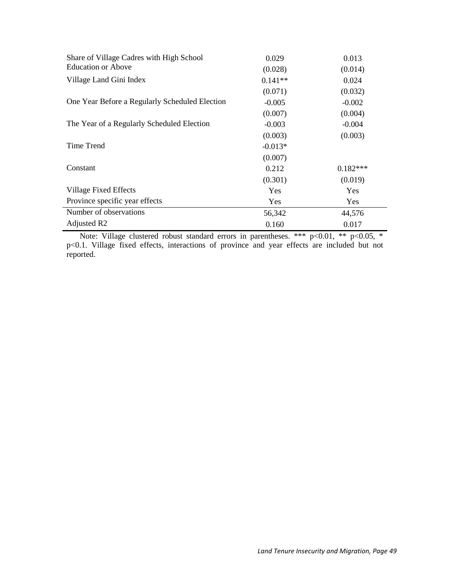| Share of Village Cadres with High School       | 0.029     | 0.013      |
|------------------------------------------------|-----------|------------|
| <b>Education or Above</b>                      | (0.028)   | (0.014)    |
| Village Land Gini Index                        | $0.141**$ | 0.024      |
|                                                | (0.071)   | (0.032)    |
| One Year Before a Regularly Scheduled Election | $-0.005$  | $-0.002$   |
|                                                | (0.007)   | (0.004)    |
| The Year of a Regularly Scheduled Election     | $-0.003$  | $-0.004$   |
|                                                | (0.003)   | (0.003)    |
| Time Trend                                     | $-0.013*$ |            |
|                                                | (0.007)   |            |
| Constant                                       | 0.212     | $0.182***$ |
|                                                | (0.301)   | (0.019)    |
| Village Fixed Effects                          | Yes       | Yes        |
| Province specific year effects                 | Yes       | Yes        |
| Number of observations                         | 56,342    | 44,576     |
| Adjusted R <sub>2</sub>                        | 0.160     | 0.017      |

Note: Village clustered robust standard errors in parentheses. \*\*\* p<0.01, \*\* p<0.05, \* p<0.1. Village fixed effects, interactions of province and year effects are included but not reported.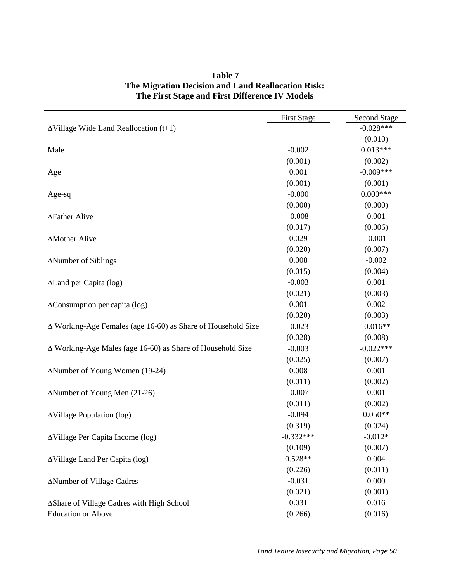|                                                                     | <b>First Stage</b> | Second Stage |
|---------------------------------------------------------------------|--------------------|--------------|
| $\Delta$ Village Wide Land Reallocation (t+1)                       |                    | $-0.028***$  |
|                                                                     |                    | (0.010)      |
| Male                                                                | $-0.002$           | $0.013***$   |
|                                                                     | (0.001)            | (0.002)      |
| Age                                                                 | 0.001              | $-0.009***$  |
|                                                                     | (0.001)            | (0.001)      |
| Age-sq                                                              | $-0.000$           | $0.000$ ***  |
|                                                                     | (0.000)            | (0.000)      |
| ∆Father Alive                                                       | $-0.008$           | 0.001        |
|                                                                     | (0.017)            | (0.006)      |
| <b>AMother Alive</b>                                                | 0.029              | $-0.001$     |
|                                                                     | (0.020)            | (0.007)      |
| ∆Number of Siblings                                                 | 0.008              | $-0.002$     |
|                                                                     | (0.015)            | (0.004)      |
| ALand per Capita (log)                                              | $-0.003$           | 0.001        |
|                                                                     | (0.021)            | (0.003)      |
| $\Delta$ Consumption per capita (log)                               | 0.001              | 0.002        |
|                                                                     | (0.020)            | (0.003)      |
| $\Delta$ Working-Age Females (age 16-60) as Share of Household Size | $-0.023$           | $-0.016**$   |
|                                                                     | (0.028)            | (0.008)      |
| $\Delta$ Working-Age Males (age 16-60) as Share of Household Size   | $-0.003$           | $-0.022***$  |
|                                                                     | (0.025)            | (0.007)      |
| ∆Number of Young Women (19-24)                                      | 0.008              | 0.001        |
|                                                                     | (0.011)            | (0.002)      |
| $\Delta$ Number of Young Men (21-26)                                | $-0.007$           | 0.001        |
|                                                                     | (0.011)            | (0.002)      |
| $\Delta$ Village Population (log)                                   | $-0.094$           | $0.050**$    |
|                                                                     | (0.319)            | (0.024)      |
| $\Delta$ Village Per Capita Income (log)                            | $-0.332***$        | $-0.012*$    |
|                                                                     | (0.109)            | (0.007)      |
| ∆Village Land Per Capita (log)                                      | $0.528**$          | 0.004        |
|                                                                     | (0.226)            | (0.011)      |
| <b>ANumber of Village Cadres</b>                                    | $-0.031$           | 0.000        |
|                                                                     | (0.021)            | (0.001)      |
| ∆Share of Village Cadres with High School                           | 0.031              | 0.016        |
| <b>Education or Above</b>                                           | (0.266)            | (0.016)      |

## **Table 7 The Migration Decision and Land Reallocation Risk: The First Stage and First Difference IV Models**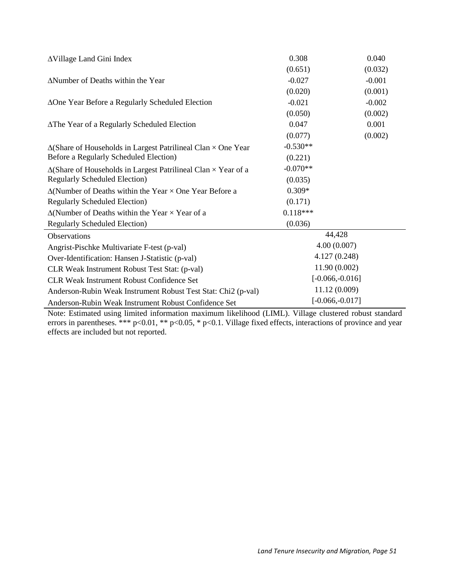| <b>AVillage Land Gini Index</b>                                              | 0.308              | 0.040    |  |
|------------------------------------------------------------------------------|--------------------|----------|--|
|                                                                              | (0.651)            | (0.032)  |  |
| ANumber of Deaths within the Year                                            | $-0.027$           | $-0.001$ |  |
|                                                                              | (0.020)            | (0.001)  |  |
| ΔOne Year Before a Regularly Scheduled Election                              | $-0.021$           | $-0.002$ |  |
|                                                                              | (0.050)            | (0.002)  |  |
| ∆The Year of a Regularly Scheduled Election                                  | 0.047              | 0.001    |  |
|                                                                              | (0.077)            | (0.002)  |  |
| $\Delta$ (Share of Households in Largest Patrilineal Clan $\times$ One Year  | $-0.530**$         |          |  |
| Before a Regularly Scheduled Election)                                       | (0.221)            |          |  |
| $\Delta$ (Share of Households in Largest Patrilineal Clan $\times$ Year of a | $-0.070**$         |          |  |
| <b>Regularly Scheduled Election</b> )                                        | (0.035)            |          |  |
| $\Delta$ (Number of Deaths within the Year $\times$ One Year Before a        | $0.309*$           |          |  |
| <b>Regularly Scheduled Election</b> )                                        | (0.171)            |          |  |
| $\Delta$ (Number of Deaths within the Year $\times$ Year of a                | $0.118***$         |          |  |
| <b>Regularly Scheduled Election</b> )                                        | (0.036)            |          |  |
| Observations                                                                 | 44,428             |          |  |
| Angrist-Pischke Multivariate F-test (p-val)                                  | 4.00(0.007)        |          |  |
| Over-Identification: Hansen J-Statistic (p-val)                              | 4.127 (0.248)      |          |  |
| 11.90 (0.002)<br>CLR Weak Instrument Robust Test Stat: (p-val)               |                    |          |  |
| <b>CLR Weak Instrument Robust Confidence Set</b>                             | $[-0.066, -0.016]$ |          |  |
| Anderson-Rubin Weak Instrument Robust Test Stat: Chi2 (p-val)                | 11.12 (0.009)      |          |  |
| Anderson-Rubin Weak Instrument Robust Confidence Set                         | $[-0.066, -0.017]$ |          |  |

Note: Estimated using limited information maximum likelihood (LIML). Village clustered robust standard errors in parentheses. \*\*\* p<0.01, \*\* p<0.05, \* p<0.1. Village fixed effects, interactions of province and year effects are included but not reported.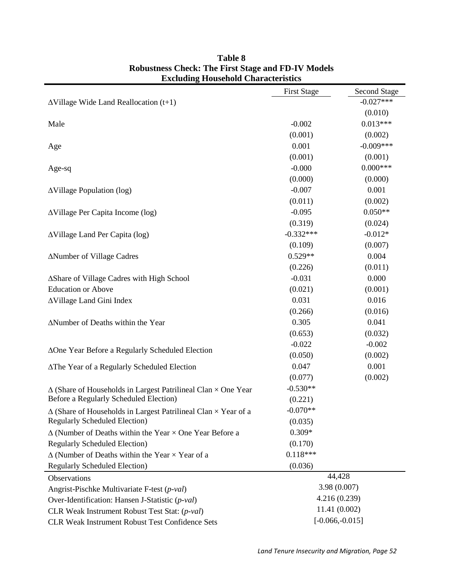|                                                                              | <b>First Stage</b> | <b>Second Stage</b> |  |  |
|------------------------------------------------------------------------------|--------------------|---------------------|--|--|
| $\Delta$ Village Wide Land Reallocation (t+1)                                |                    | $-0.027***$         |  |  |
|                                                                              |                    | (0.010)             |  |  |
| Male                                                                         | $-0.002$           | $0.013***$          |  |  |
|                                                                              | (0.001)            | (0.002)             |  |  |
| Age                                                                          | 0.001              | $-0.009***$         |  |  |
|                                                                              | (0.001)            | (0.001)             |  |  |
| Age-sq                                                                       | $-0.000$           | $0.000***$          |  |  |
|                                                                              | (0.000)            | (0.000)             |  |  |
| $\Delta$ Village Population (log)                                            | $-0.007$           | 0.001               |  |  |
|                                                                              | (0.011)            | (0.002)             |  |  |
| AVillage Per Capita Income (log)                                             | $-0.095$           | $0.050**$           |  |  |
|                                                                              | (0.319)            | (0.024)             |  |  |
| ∆Village Land Per Capita (log)                                               | $-0.332***$        | $-0.012*$           |  |  |
|                                                                              | (0.109)            | (0.007)             |  |  |
| ∆Number of Village Cadres                                                    | $0.529**$          | 0.004               |  |  |
|                                                                              | (0.226)            | (0.011)             |  |  |
| ∆Share of Village Cadres with High School                                    | $-0.031$           | 0.000               |  |  |
| <b>Education or Above</b>                                                    | (0.021)            | (0.001)             |  |  |
| AVillage Land Gini Index                                                     | 0.031              | 0.016               |  |  |
|                                                                              | (0.266)            | (0.016)             |  |  |
| ANumber of Deaths within the Year                                            | 0.305              | 0.041               |  |  |
|                                                                              | (0.653)            | (0.032)             |  |  |
| ∆One Year Before a Regularly Scheduled Election                              | $-0.022$           | $-0.002$            |  |  |
|                                                                              | (0.050)            | (0.002)             |  |  |
| ∆The Year of a Regularly Scheduled Election                                  | 0.047              | 0.001               |  |  |
|                                                                              | (0.077)            | (0.002)             |  |  |
| $\Delta$ (Share of Households in Largest Patrilineal Clan $\times$ One Year  | $-0.530**$         |                     |  |  |
| Before a Regularly Scheduled Election)                                       | (0.221)            |                     |  |  |
| $\Delta$ (Share of Households in Largest Patrilineal Clan $\times$ Year of a | $-0.070**$         |                     |  |  |
| <b>Regularly Scheduled Election</b> )                                        | (0.035)            |                     |  |  |
| $\Delta$ (Number of Deaths within the Year $\times$ One Year Before a        | $0.309*$           |                     |  |  |
| <b>Regularly Scheduled Election</b> )                                        | (0.170)            |                     |  |  |
| $\Delta$ (Number of Deaths within the Year $\times$ Year of a                | $0.118***$         |                     |  |  |
| <b>Regularly Scheduled Election)</b>                                         | (0.036)            |                     |  |  |
| <b>Observations</b>                                                          | 44,428             |                     |  |  |
| Angrist-Pischke Multivariate F-test (p-val)                                  | 3.98 (0.007)       |                     |  |  |
| Over-Identification: Hansen J-Statistic (p-val)                              | 4.216(0.239)       |                     |  |  |
| CLR Weak Instrument Robust Test Stat: (p-val)                                |                    | 11.41(0.002)        |  |  |
| CLR Weak Instrument Robust Test Confidence Sets                              | $[-0.066,-0.015]$  |                     |  |  |

## **Table 8 Robustness Check: The First Stage and FD-IV Models Excluding Household Characteristics**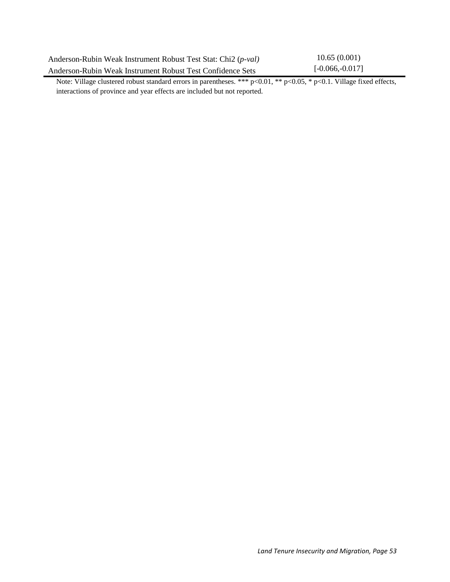| Anderson-Rubin Weak Instrument Robust Test Stat: Chi2 (p-val) | 10.65(0.001)       |
|---------------------------------------------------------------|--------------------|
| Anderson-Rubin Weak Instrument Robust Test Confidence Sets    | $[-0.066, -0.017]$ |

Note: Village clustered robust standard errors in parentheses. \*\*\*  $p<0.01$ , \*\*  $p<0.05$ , \*  $p<0.1$ . Village fixed effects, interactions of province and year effects are included but not reported.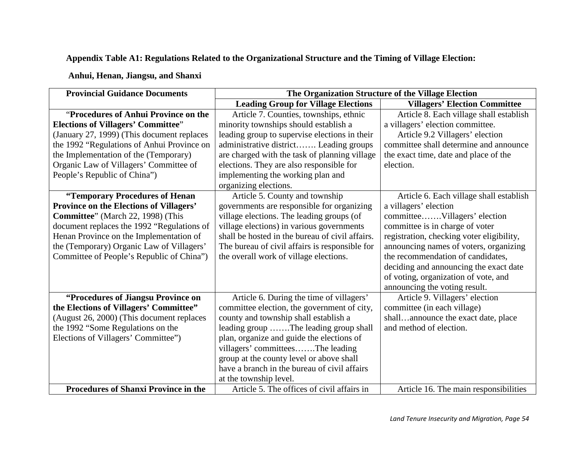## **Appendix Table A1: Regulations Related to the Organizational Structure and the Timing of Village Election:**

## **Anhui, Henan, Jiangsu, and Shanxi**

| <b>Provincial Guidance Documents</b>           | The Organization Structure of the Village Election |                                           |
|------------------------------------------------|----------------------------------------------------|-------------------------------------------|
|                                                | <b>Leading Group for Village Elections</b>         | <b>Villagers' Election Committee</b>      |
| "Procedures of Anhui Province on the           | Article 7. Counties, townships, ethnic             | Article 8. Each village shall establish   |
| <b>Elections of Villagers' Committee"</b>      | minority townships should establish a              | a villagers' election committee.          |
| (January 27, 1999) (This document replaces     | leading group to supervise elections in their      | Article 9.2 Villagers' election           |
| the 1992 "Regulations of Anhui Province on     | administrative district Leading groups             | committee shall determine and announce    |
| the Implementation of the (Temporary)          | are charged with the task of planning village      | the exact time, date and place of the     |
| Organic Law of Villagers' Committee of         | elections. They are also responsible for           | election.                                 |
| People's Republic of China")                   | implementing the working plan and                  |                                           |
|                                                | organizing elections.                              |                                           |
| "Temporary Procedures of Henan                 | Article 5. County and township                     | Article 6. Each village shall establish   |
| <b>Province on the Elections of Villagers'</b> | governments are responsible for organizing         | a villagers' election                     |
| Committee" (March 22, 1998) (This              | village elections. The leading groups (of          | committeeVillagers' election              |
| document replaces the 1992 "Regulations of     | village elections) in various governments          | committee is in charge of voter           |
| Henan Province on the Implementation of        | shall be hosted in the bureau of civil affairs.    | registration, checking voter eligibility, |
| the (Temporary) Organic Law of Villagers'      | The bureau of civil affairs is responsible for     | announcing names of voters, organizing    |
| Committee of People's Republic of China")      | the overall work of village elections.             | the recommendation of candidates,         |
|                                                |                                                    | deciding and announcing the exact date    |
|                                                |                                                    | of voting, organization of vote, and      |
|                                                |                                                    | announcing the voting result.             |
| "Procedures of Jiangsu Province on             | Article 6. During the time of villagers'           | Article 9. Villagers' election            |
| the Elections of Villagers' Committee"         | committee election, the government of city,        | committee (in each village)               |
| (August 26, 2000) (This document replaces      | county and township shall establish a              | shallannounce the exact date, place       |
| the 1992 "Some Regulations on the              | leading group The leading group shall              | and method of election.                   |
| Elections of Villagers' Committee")            | plan, organize and guide the elections of          |                                           |
|                                                | villagers' committeesThe leading                   |                                           |
|                                                | group at the county level or above shall           |                                           |
|                                                | have a branch in the bureau of civil affairs       |                                           |
|                                                | at the township level.                             |                                           |
| <b>Procedures of Shanxi Province in the</b>    | Article 5. The offices of civil affairs in         | Article 16. The main responsibilities     |